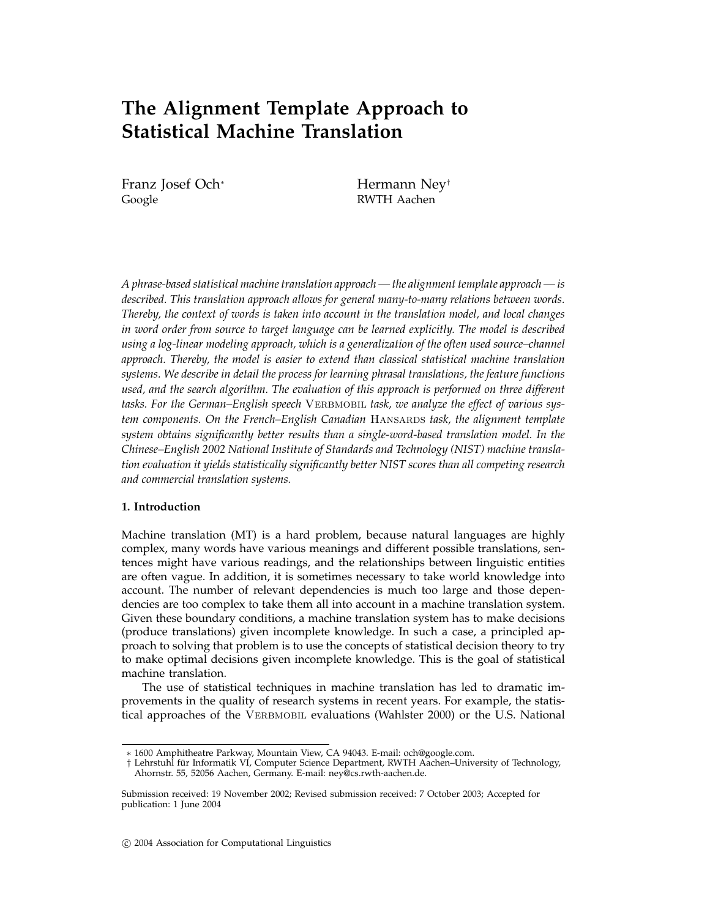# **The Alignment Template Approach to Statistical Machine Translation**

Franz Josef Och<sup>∗</sup> Hermann Ney<sup>†</sup> Google RWTH Aachen

*A phrase-based statistical machine translation approach — the alignment template approach — is described. This translation approach allows for general many-to-many relations between words. Thereby, the context of words is taken into account in the translation model, and local changes in word order from source to target language can be learned explicitly. The model is described using a log-linear modeling approach, which is a generalization of the often used source–channel approach. Thereby, the model is easier to extend than classical statistical machine translation systems. We describe in detail the process for learning phrasal translations, the feature functions used, and the search algorithm. The evaluation of this approach is performed on three different* tasks. For the German–English speech VERBMOBIL task, we analyze the effect of various sys*tem components. On the French–English Canadian HANSARDS task, the alignment template system obtains significantly better results than a single-word-based translation model. In the Chinese–English 2002 National Institute of Standards and Technology (NIST) machine translation evaluation it yields statistically significantly better NIST scores than all competing research and commercial translation systems.*

### **1. Introduction**

Machine translation (MT) is a hard problem, because natural languages are highly complex, many words have various meanings and different possible translations, sentences might have various readings, and the relationships between linguistic entities are often vague. In addition, it is sometimes necessary to take world knowledge into account. The number of relevant dependencies is much too large and those dependencies are too complex to take them all into account in a machine translation system. Given these boundary conditions, a machine translation system has to make decisions (produce translations) given incomplete knowledge. In such a case, a principled approach to solving that problem is to use the concepts of statistical decision theory to try to make optimal decisions given incomplete knowledge. This is the goal of statistical machine translation.

The use of statistical techniques in machine translation has led to dramatic improvements in the quality of research systems in recent years. For example, the statistical approaches of the VERBMOBIL evaluations (Wahlster 2000) or the U.S. National

<sup>∗</sup> 1600 Amphitheatre Parkway, Mountain View, CA 94043. E-mail: och@google.com.

<sup>†</sup> Lehrstuhl für Informatik VI, Computer Science Department, RWTH Aachen–University of Technology, Ahornstr. 55, 52056 Aachen, Germany. E-mail: ney@cs.rwth-aachen.de.

Submission received: 19 November 2002; Revised submission received: 7 October 2003; Accepted for publication: 1 June 2004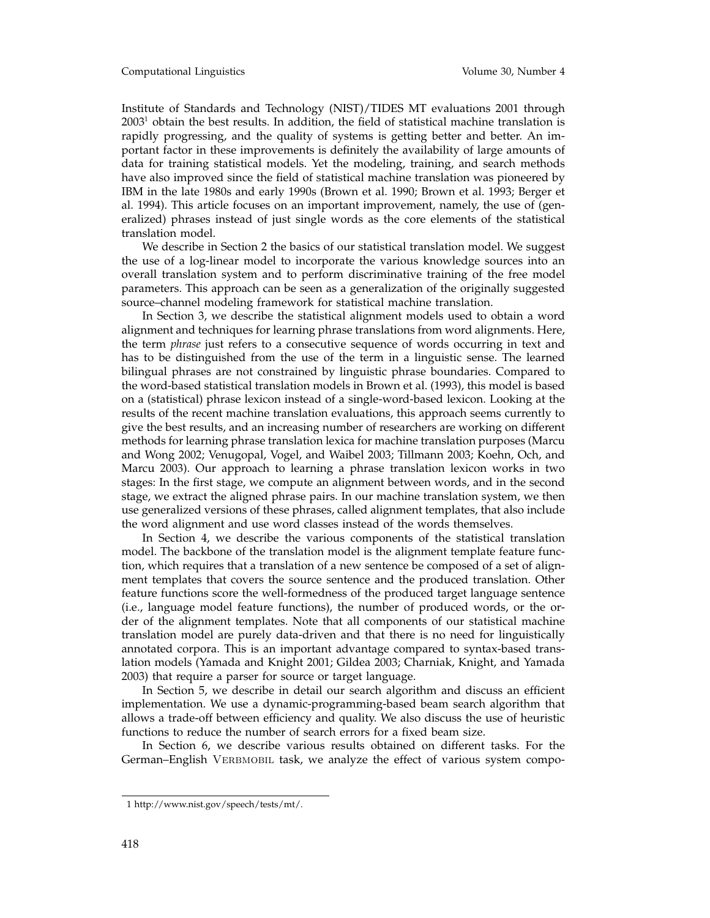Institute of Standards and Technology (NIST)/TIDES MT evaluations 2001 through  $2003<sup>1</sup>$  obtain the best results. In addition, the field of statistical machine translation is rapidly progressing, and the quality of systems is getting better and better. An important factor in these improvements is definitely the availability of large amounts of data for training statistical models. Yet the modeling, training, and search methods have also improved since the field of statistical machine translation was pioneered by IBM in the late 1980s and early 1990s (Brown et al. 1990; Brown et al. 1993; Berger et al. 1994). This article focuses on an important improvement, namely, the use of (generalized) phrases instead of just single words as the core elements of the statistical translation model.

We describe in Section 2 the basics of our statistical translation model. We suggest the use of a log-linear model to incorporate the various knowledge sources into an overall translation system and to perform discriminative training of the free model parameters. This approach can be seen as a generalization of the originally suggested source–channel modeling framework for statistical machine translation.

In Section 3, we describe the statistical alignment models used to obtain a word alignment and techniques for learning phrase translations from word alignments. Here, the term *phrase* just refers to a consecutive sequence of words occurring in text and has to be distinguished from the use of the term in a linguistic sense. The learned bilingual phrases are not constrained by linguistic phrase boundaries. Compared to the word-based statistical translation models in Brown et al. (1993), this model is based on a (statistical) phrase lexicon instead of a single-word-based lexicon. Looking at the results of the recent machine translation evaluations, this approach seems currently to give the best results, and an increasing number of researchers are working on different methods for learning phrase translation lexica for machine translation purposes (Marcu and Wong 2002; Venugopal, Vogel, and Waibel 2003; Tillmann 2003; Koehn, Och, and Marcu 2003). Our approach to learning a phrase translation lexicon works in two stages: In the first stage, we compute an alignment between words, and in the second stage, we extract the aligned phrase pairs. In our machine translation system, we then use generalized versions of these phrases, called alignment templates, that also include the word alignment and use word classes instead of the words themselves.

In Section 4, we describe the various components of the statistical translation model. The backbone of the translation model is the alignment template feature function, which requires that a translation of a new sentence be composed of a set of alignment templates that covers the source sentence and the produced translation. Other feature functions score the well-formedness of the produced target language sentence (i.e., language model feature functions), the number of produced words, or the order of the alignment templates. Note that all components of our statistical machine translation model are purely data-driven and that there is no need for linguistically annotated corpora. This is an important advantage compared to syntax-based translation models (Yamada and Knight 2001; Gildea 2003; Charniak, Knight, and Yamada 2003) that require a parser for source or target language.

In Section 5, we describe in detail our search algorithm and discuss an efficient implementation. We use a dynamic-programming-based beam search algorithm that allows a trade-off between efficiency and quality. We also discuss the use of heuristic functions to reduce the number of search errors for a fixed beam size.

In Section 6, we describe various results obtained on different tasks. For the German–English VERBMOBIL task, we analyze the effect of various system compo-

<sup>1</sup> http://www.nist.gov/speech/tests/mt/.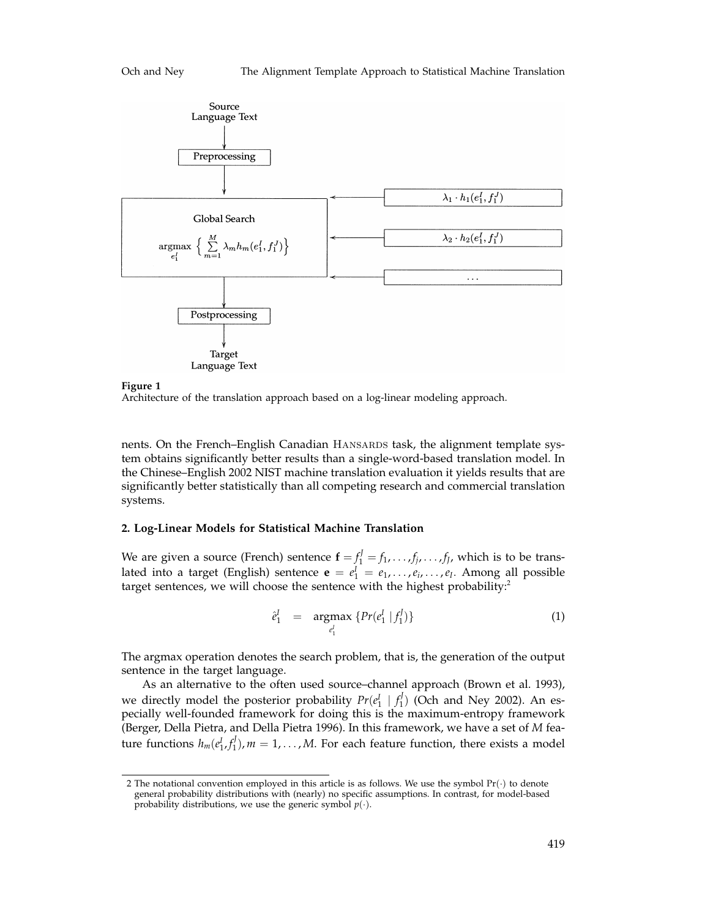

**Figure 1**

Architecture of the translation approach based on a log-linear modeling approach.

nents. On the French–English Canadian HANSARDS task, the alignment template system obtains significantly better results than a single-word-based translation model. In the Chinese–English 2002 NIST machine translation evaluation it yields results that are significantly better statistically than all competing research and commercial translation systems.

## **2. Log-Linear Models for Statistical Machine Translation**

We are given a source (French) sentence  $\mathbf{f} = f_1^J = f_1, \ldots, f_j, \ldots, f_J$ , which is to be translated into a target (English) sentence  $\mathbf{e} = e_1^I = e_1, \ldots, e_i, \ldots, e_I$ . Among all possible target sentences, we will choose the sentence with the highest probability:<sup>2</sup>

$$
\hat{e}_1^I = \underset{e_1^I}{\text{argmax}} \{ Pr(e_1^I \mid f_1^J) \} \tag{1}
$$

The argmax operation denotes the search problem, that is, the generation of the output sentence in the target language.

As an alternative to the often used source–channel approach (Brown et al. 1993), we directly model the posterior probability  $Pr(e_1^I | f_1^J)$  (Och and Ney 2002). An especially well-founded framework for doing this is the maximum-entropy framework (Berger, Della Pietra, and Della Pietra 1996). In this framework, we have a set of *M* feature functions  $h_m(e_1^I, f_1^J)$ ,  $m = 1, \ldots, M$ . For each feature function, there exists a model

<sup>2</sup> The notational convention employed in this article is as follows. We use the symbol  $Pr(\cdot)$  to denote general probability distributions with (nearly) no specific assumptions. In contrast, for model-based probability distributions, we use the generic symbol  $p(\cdot)$ .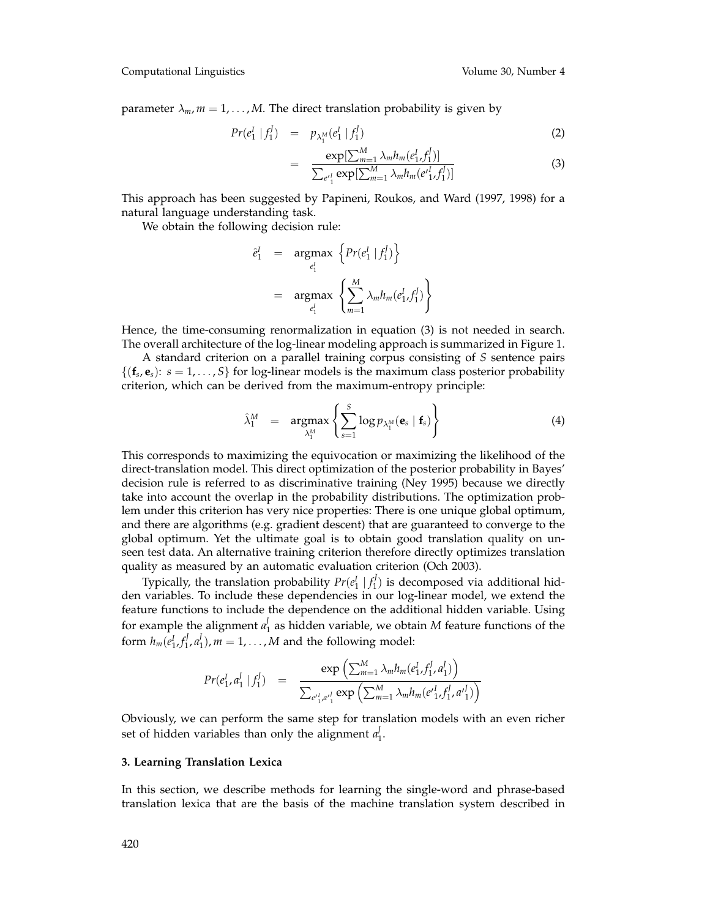Computational Linguistics Volume 30, Number 4

parameter  $\lambda_m$ ,  $m = 1, \dots, M$ . The direct translation probability is given by

$$
Pr(e_1^I | f_1^J) = p_{\lambda_1^M}(e_1^I | f_1^J) \tag{2}
$$

$$
= \frac{\exp[\sum_{m=1}^{M} \lambda_m h_m(e_1^I, f_1^J)]}{\sum_{e'^1} \exp[\sum_{m=1}^{M} \lambda_m h_m(e'^1_1, f_1^J)]}
$$
(3)

This approach has been suggested by Papineni, Roukos, and Ward (1997, 1998) for a natural language understanding task.

We obtain the following decision rule:

$$
\begin{aligned}\n\hat{e}_1^I &= \operatorname{argmax}_{e_1^I} \left\{ \Pr(e_1^I \mid f_1^J) \right\} \\
&= \operatorname{argmax}_{e_1^I} \left\{ \sum_{m=1}^M \lambda_m h_m(e_1^I, f_1^J) \right\}\n\end{aligned}
$$

Hence, the time-consuming renormalization in equation (3) is not needed in search. The overall architecture of the log-linear modeling approach is summarized in Figure 1.

A standard criterion on a parallel training corpus consisting of *S* sentence pairs  $\{(\mathbf{f}_s, \mathbf{e}_s): s = 1, \ldots, S\}$  for log-linear models is the maximum class posterior probability criterion, which can be derived from the maximum-entropy principle:

$$
\hat{\lambda}_1^M = \underset{\lambda_1^M}{\text{argmax}} \left\{ \sum_{s=1}^S \log p_{\lambda_1^M}(\mathbf{e}_s \mid \mathbf{f}_s) \right\} \tag{4}
$$

This corresponds to maximizing the equivocation or maximizing the likelihood of the direct-translation model. This direct optimization of the posterior probability in Bayes' decision rule is referred to as discriminative training (Ney 1995) because we directly take into account the overlap in the probability distributions. The optimization problem under this criterion has very nice properties: There is one unique global optimum, and there are algorithms (e.g. gradient descent) that are guaranteed to converge to the global optimum. Yet the ultimate goal is to obtain good translation quality on unseen test data. An alternative training criterion therefore directly optimizes translation quality as measured by an automatic evaluation criterion (Och 2003).

Typically, the translation probability  $Pr(e_1^I | f_1^J)$  is decomposed via additional hidden variables. To include these dependencies in our log-linear model, we extend the feature functions to include the dependence on the additional hidden variable. Using for example the alignment  $a_1^J$  as hidden variable, we obtain  $M$  feature functions of the form  $h_m(e_1^I, f_1^J, a_1^J)$ ,  $m = 1, \ldots, M$  and the following model:

$$
Pr(e_1^I, a_1^I | f_1^J) = \frac{\exp\left(\sum_{m=1}^M \lambda_m h_m(e_1^I, f_1^J, a_1^I)\right)}{\sum_{e_1^I, a_1^I} \exp\left(\sum_{m=1}^M \lambda_m h_m(e_1^I, f_1^J, a_1^I)\right)}
$$

Obviously, we can perform the same step for translation models with an even richer set of hidden variables than only the alignment  $a_1^j$ .

#### **3. Learning Translation Lexica**

In this section, we describe methods for learning the single-word and phrase-based translation lexica that are the basis of the machine translation system described in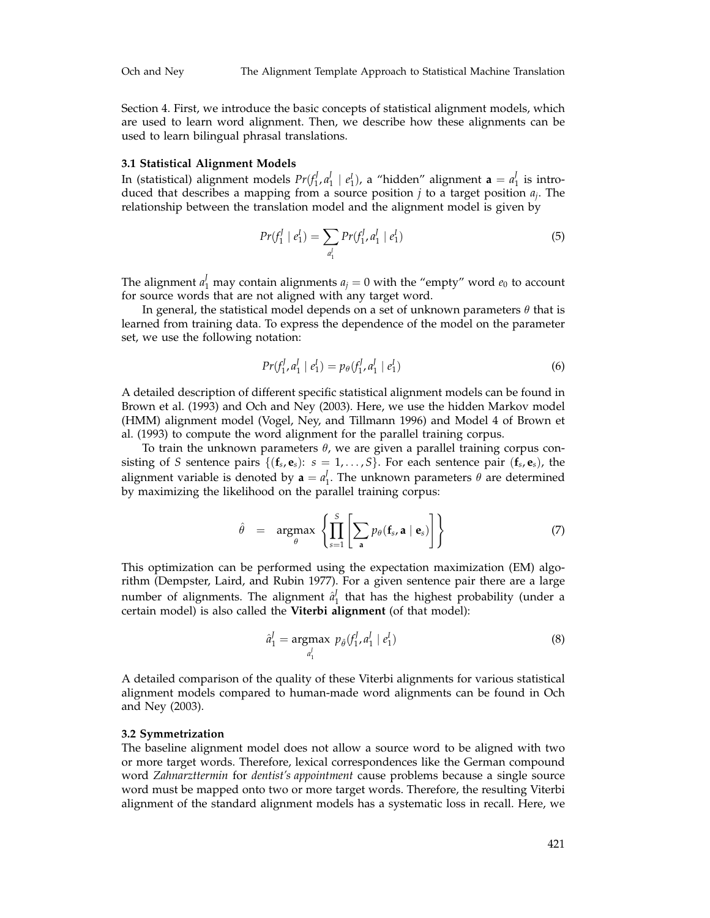Section 4. First, we introduce the basic concepts of statistical alignment models, which are used to learn word alignment. Then, we describe how these alignments can be used to learn bilingual phrasal translations.

#### **3.1 Statistical Alignment Models**

In (statistical) alignment models  $Pr(f_1^f, a_1^f \mid e_1^I)$ , a "hidden" alignment  $\mathbf{a} = a_1^f$  is introduced that describes a mapping from a source position *j* to a target position *aj*. The relationship between the translation model and the alignment model is given by

$$
Pr(f_1^I \mid e_1^I) = \sum_{a_1^I} Pr(f_1^I, a_1^I \mid e_1^I)
$$
\n(5)

The alignment  $a_1^J$  may contain alignments  $a_j = 0$  with the "empty" word  $e_0$  to account for source words that are not aligned with any target word.

In general, the statistical model depends on a set of unknown parameters  $\theta$  that is learned from training data. To express the dependence of the model on the parameter set, we use the following notation:

$$
Pr(f_1^I, a_1^I \mid e_1^I) = p_\theta(f_1^I, a_1^I \mid e_1^I)
$$
\n(6)

A detailed description of different specific statistical alignment models can be found in Brown et al. (1993) and Och and Ney (2003). Here, we use the hidden Markov model (HMM) alignment model (Vogel, Ney, and Tillmann 1996) and Model 4 of Brown et al. (1993) to compute the word alignment for the parallel training corpus.

To train the unknown parameters  $\theta$ , we are given a parallel training corpus consisting of *S* sentence pairs  $\{(\mathbf{f}_s, \mathbf{e}_s): s = 1, \ldots, S\}$ . For each sentence pair  $(\mathbf{f}_s, \mathbf{e}_s)$ , the alignment variable is denoted by  $\mathbf{a} = a_1^J$ . The unknown parameters  $\theta$  are determined by maximizing the likelihood on the parallel training corpus:

$$
\hat{\theta} = \underset{\theta}{\operatorname{argmax}} \left\{ \prod_{s=1}^{S} \left[ \sum_{\mathbf{a}} p_{\theta}(\mathbf{f}_{s}, \mathbf{a} \mid \mathbf{e}_{s}) \right] \right\} \tag{7}
$$

This optimization can be performed using the expectation maximization (EM) algorithm (Dempster, Laird, and Rubin 1977). For a given sentence pair there are a large number of alignments. The alignment  $\hat{a}_1^j$  that has the highest probability (under a certain model) is also called the **Viterbi alignment** (of that model):

$$
\hat{a}_1^I = \underset{a_1^I}{\text{argmax}} \ p_{\hat{\theta}}(f_1^I, a_1^I \mid e_1^I) \tag{8}
$$

A detailed comparison of the quality of these Viterbi alignments for various statistical alignment models compared to human-made word alignments can be found in Och and Ney (2003).

#### **3.2 Symmetrization**

The baseline alignment model does not allow a source word to be aligned with two or more target words. Therefore, lexical correspondences like the German compound word *Zahnarzttermin* for *dentist's appointment* cause problems because a single source word must be mapped onto two or more target words. Therefore, the resulting Viterbi alignment of the standard alignment models has a systematic loss in recall. Here, we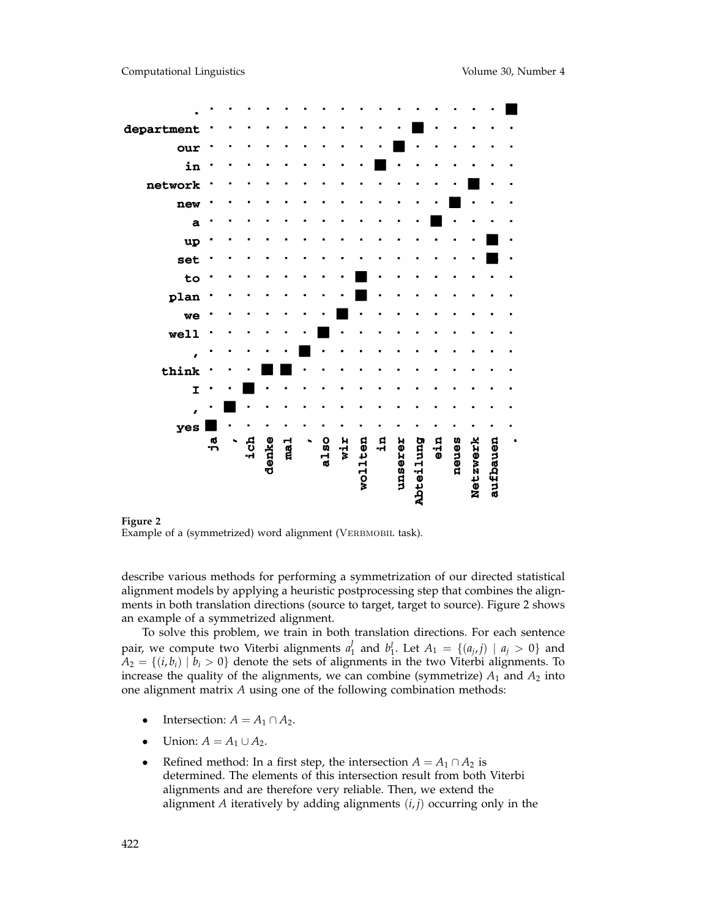

**Figure 2** Example of a (symmetrized) word alignment (VERBMOBIL task).

describe various methods for performing a symmetrization of our directed statistical alignment models by applying a heuristic postprocessing step that combines the alignments in both translation directions (source to target, target to source). Figure 2 shows an example of a symmetrized alignment.

To solve this problem, we train in both translation directions. For each sentence pair, we compute two Viterbi alignments  $a_1^J$  and  $b_1^J$ . Let  $A_1 = \{(a_j, j) \mid a_j > 0\}$  and  $A_2 = \{(i, b_i) | b_i > 0\}$  denote the sets of alignments in the two Viterbi alignments. To increase the quality of the alignments, we can combine (symmetrize)  $A_1$  and  $A_2$  into one alignment matrix *A* using one of the following combination methods:

- Intersection:  $A = A_1 \cap A_2$ .
- Union:  $A = A_1 \cup A_2$ .
- Refined method: In a first step, the intersection  $A = A_1 \cap A_2$  is determined. The elements of this intersection result from both Viterbi alignments and are therefore very reliable. Then, we extend the alignment *A* iteratively by adding alignments (*i*, *j*) occurring only in the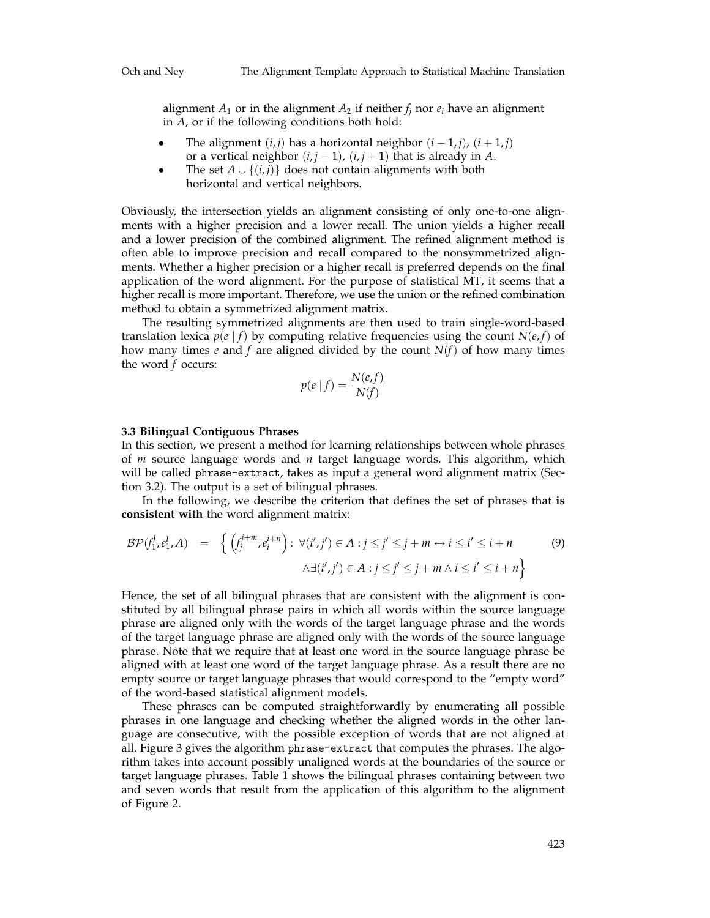alignment  $A_1$  or in the alignment  $A_2$  if neither  $f_i$  nor  $e_i$  have an alignment in *A*, or if the following conditions both hold:

- The alignment  $(i, j)$  has a horizontal neighbor  $(i 1, j)$ ,  $(i + 1, j)$ or a vertical neighbor  $(i, j - 1)$ ,  $(i, j + 1)$  that is already in *A*.
- The set  $A \cup \{(i,j)\}$  does not contain alignments with both horizontal and vertical neighbors.

Obviously, the intersection yields an alignment consisting of only one-to-one alignments with a higher precision and a lower recall. The union yields a higher recall and a lower precision of the combined alignment. The refined alignment method is often able to improve precision and recall compared to the nonsymmetrized alignments. Whether a higher precision or a higher recall is preferred depends on the final application of the word alignment. For the purpose of statistical MT, it seems that a higher recall is more important. Therefore, we use the union or the refined combination method to obtain a symmetrized alignment matrix.

The resulting symmetrized alignments are then used to train single-word-based translation lexica  $p(e|f)$  by computing relative frequencies using the count  $N(e,f)$  of how many times  $e$  and  $f$  are aligned divided by the count  $N(f)$  of how many times the word *f* occurs:

$$
p(e | f) = \frac{N(e, f)}{N(f)}
$$

# **3.3 Bilingual Contiguous Phrases**

In this section, we present a method for learning relationships between whole phrases of *m* source language words and *n* target language words. This algorithm, which will be called phrase-extract, takes as input a general word alignment matrix (Section 3.2). The output is a set of bilingual phrases.

In the following, we describe the criterion that defines the set of phrases that **is consistent with** the word alignment matrix:

$$
\mathcal{BP}(f_1^j, e_1^i, A) = \left\{ \left( f_j^{j+m}, e_i^{i+n} \right) : \forall (i', j') \in A : j \le j' \le j+m \leftrightarrow i \le i' \le i+n \right\}
$$
  

$$
\wedge \exists (i', j') \in A : j \le j' \le j+m \wedge i \le i' \le i+n \right\}
$$
  
(9)

Hence, the set of all bilingual phrases that are consistent with the alignment is constituted by all bilingual phrase pairs in which all words within the source language phrase are aligned only with the words of the target language phrase and the words of the target language phrase are aligned only with the words of the source language phrase. Note that we require that at least one word in the source language phrase be aligned with at least one word of the target language phrase. As a result there are no empty source or target language phrases that would correspond to the "empty word" of the word-based statistical alignment models.

These phrases can be computed straightforwardly by enumerating all possible phrases in one language and checking whether the aligned words in the other language are consecutive, with the possible exception of words that are not aligned at all. Figure 3 gives the algorithm phrase-extract that computes the phrases. The algorithm takes into account possibly unaligned words at the boundaries of the source or target language phrases. Table 1 shows the bilingual phrases containing between two and seven words that result from the application of this algorithm to the alignment of Figure 2.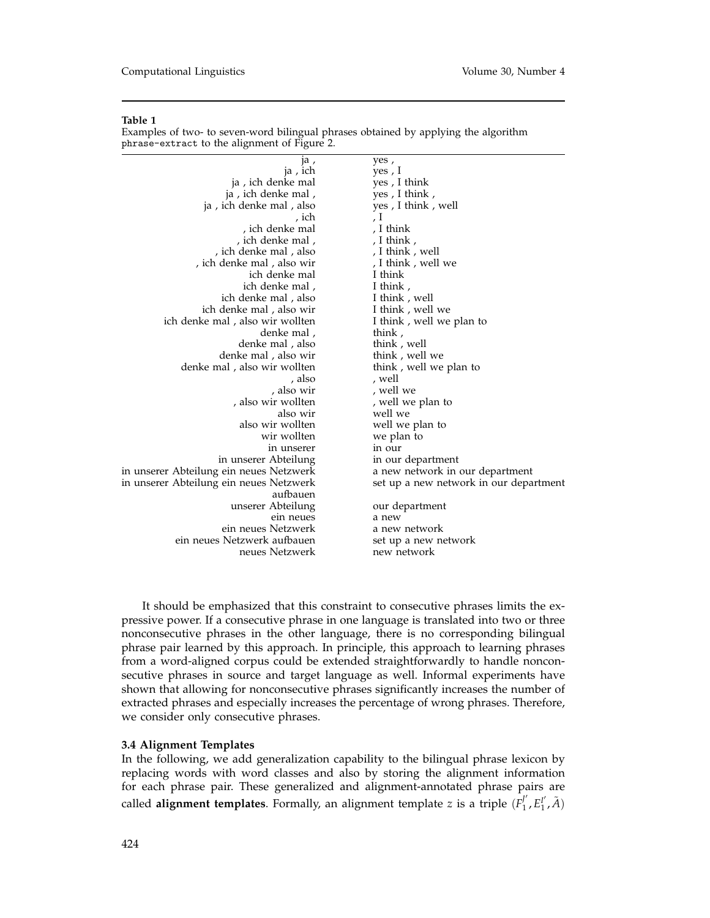Examples of two- to seven-word bilingual phrases obtained by applying the algorithm phrase-extract to the alignment of Figure 2.

| ja,                                     | yes,                                   |
|-----------------------------------------|----------------------------------------|
| ja, ich                                 | yes , I                                |
| ja, ich denke mal                       | yes, I think                           |
| ja, ich denke mal,                      | yes, I think,                          |
| ja, ich denke mal, also                 | yes, I think, well                     |
| , ich                                   | , I                                    |
| , ich denke mal                         | , I think                              |
| , ich denke mal,                        | , I think,                             |
| ich denke mal, also                     | , I think, well                        |
| ich denke mal, also wir                 | , I think , well we                    |
| ich denke mal                           | I think                                |
| ich denke mal,                          | I think,                               |
| ich denke mal, also                     | I think, well                          |
| ich denke mal, also wir                 | I think, well we                       |
| ich denke mal, also wir wollten         | I think, well we plan to               |
| denke mal,                              | think,                                 |
| denke mal, also                         | think, well                            |
| denke mal, also wir                     | think, well we                         |
| denke mal, also wir wollten             | think, well we plan to                 |
| , also                                  | , well                                 |
| , also wir                              | , well we                              |
| , also wir wollten                      | , well we plan to                      |
| also wir                                | well we                                |
| also wir wollten                        | well we plan to                        |
| wir wollten                             | we plan to                             |
| in unserer                              | in our                                 |
| in unserer Abteilung                    | in our department                      |
| in unserer Abteilung ein neues Netzwerk | a new network in our department        |
| in unserer Abteilung ein neues Netzwerk | set up a new network in our department |
| aufbauen                                |                                        |
| unserer Abteilung                       | our department                         |
| ein neues                               | a new                                  |
| ein neues Netzwerk                      | a new network                          |
| ein neues Netzwerk aufbauen             | set up a new network                   |
| neues Netzwerk                          | new network                            |

It should be emphasized that this constraint to consecutive phrases limits the expressive power. If a consecutive phrase in one language is translated into two or three nonconsecutive phrases in the other language, there is no corresponding bilingual phrase pair learned by this approach. In principle, this approach to learning phrases from a word-aligned corpus could be extended straightforwardly to handle nonconsecutive phrases in source and target language as well. Informal experiments have shown that allowing for nonconsecutive phrases significantly increases the number of extracted phrases and especially increases the percentage of wrong phrases. Therefore, we consider only consecutive phrases.

# **3.4 Alignment Templates**

In the following, we add generalization capability to the bilingual phrase lexicon by replacing words with word classes and also by storing the alignment information for each phrase pair. These generalized and alignment-annotated phrase pairs are called **alignment templates**. Formally, an alignment template *z* is a triple  $(F_1^{\prime}, F_1^{\prime}, \tilde{A})$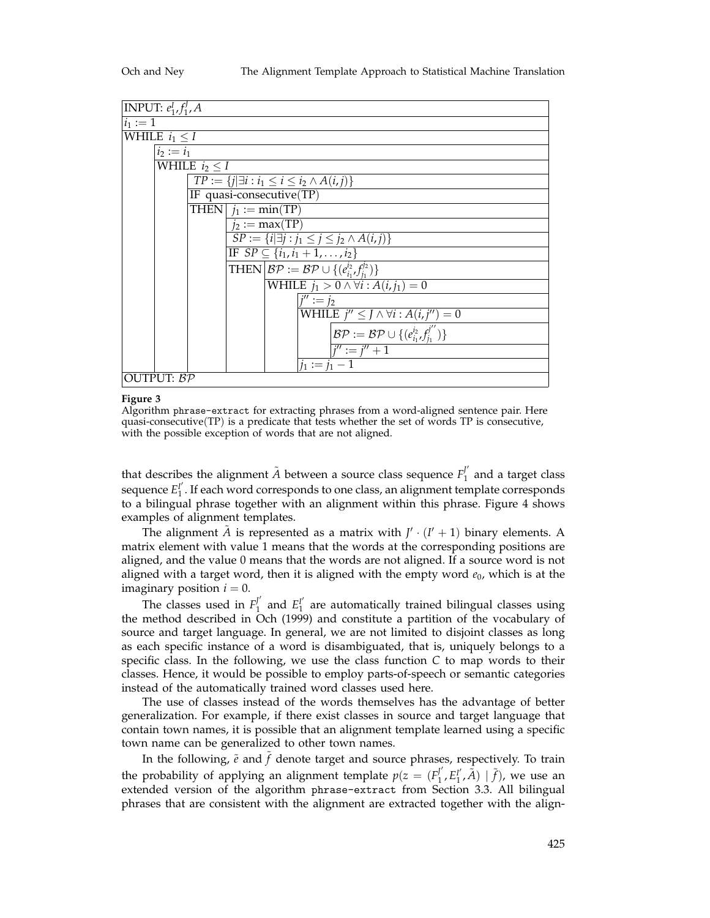

**Figure 3**

Algorithm phrase-extract for extracting phrases from a word-aligned sentence pair. Here quasi-consecutive(TP) is a predicate that tests whether the set of words TP is consecutive, with the possible exception of words that are not aligned.

that describes the alignment  $\tilde{A}$  between a source class sequence  $F_{1}^{j'}$  and a target class sequence  $E_1^{\prime\prime}$ . If each word corresponds to one class, an alignment template corresponds to a bilingual phrase together with an alignment within this phrase. Figure 4 shows examples of alignment templates.

The alignment  $\tilde{A}$  is represented as a matrix with  $J' \cdot (I' + 1)$  binary elements. A matrix element with value 1 means that the words at the corresponding positions are aligned, and the value 0 means that the words are not aligned. If a source word is not aligned with a target word, then it is aligned with the empty word  $e_0$ , which is at the imaginary position  $i = 0$ .

The classes used in  $F_1^{\prime}$  and  $E_1^{\prime}$  are automatically trained bilingual classes using the method described in Och (1999) and constitute a partition of the vocabulary of source and target language. In general, we are not limited to disjoint classes as long as each specific instance of a word is disambiguated, that is, uniquely belongs to a specific class. In the following, we use the class function *C* to map words to their classes. Hence, it would be possible to employ parts-of-speech or semantic categories instead of the automatically trained word classes used here.

The use of classes instead of the words themselves has the advantage of better generalization. For example, if there exist classes in source and target language that contain town names, it is possible that an alignment template learned using a specific town name can be generalized to other town names.

In the following,  $\tilde{e}$  and  $f$  denote target and source phrases, respectively. To train the probability of applying an alignment template  $p(z) = (F_1^{\prime\prime}, E_1^{\prime\prime}, \tilde{A}) \mid \tilde{f})$ , we use an extended version of the algorithm phrase-extract from Section 3.3. All bilingual phrases that are consistent with the alignment are extracted together with the align-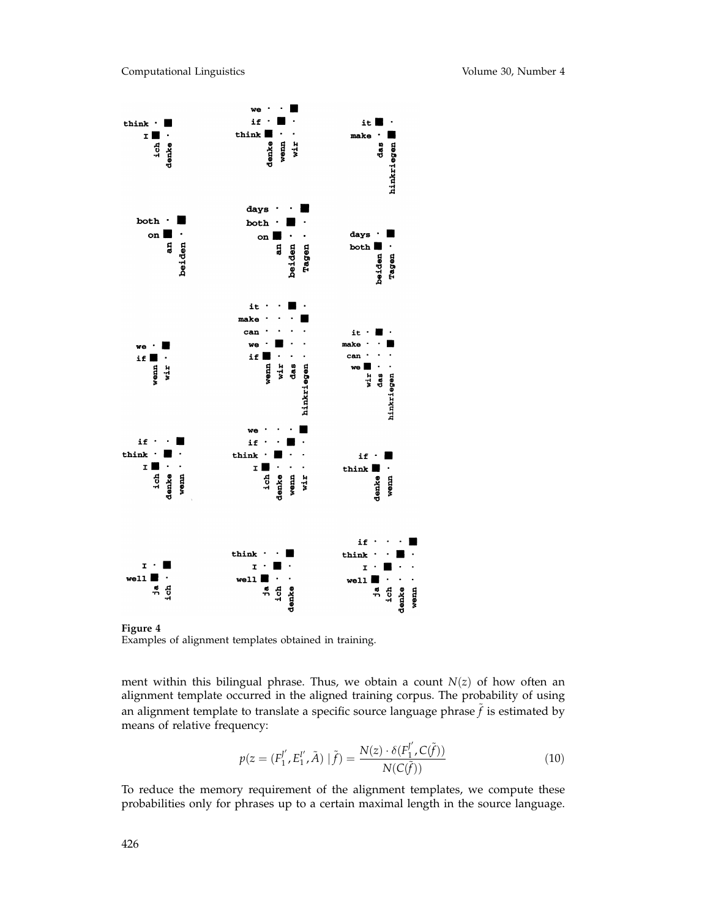

**Figure 4** Examples of alignment templates obtained in training.

ment within this bilingual phrase. Thus, we obtain a count *N*(*z*) of how often an alignment template occurred in the aligned training corpus. The probability of using an alignment template to translate a specific source language phrase  $f$  is estimated by means of relative frequency:

$$
p(z = (F_1^{J'}, E_1^{I'}, \tilde{A}) | \tilde{f}) = \frac{N(z) \cdot \delta(F_1^{J'}, C(\tilde{f}))}{N(C(\tilde{f}))}
$$
(10)

To reduce the memory requirement of the alignment templates, we compute these probabilities only for phrases up to a certain maximal length in the source language.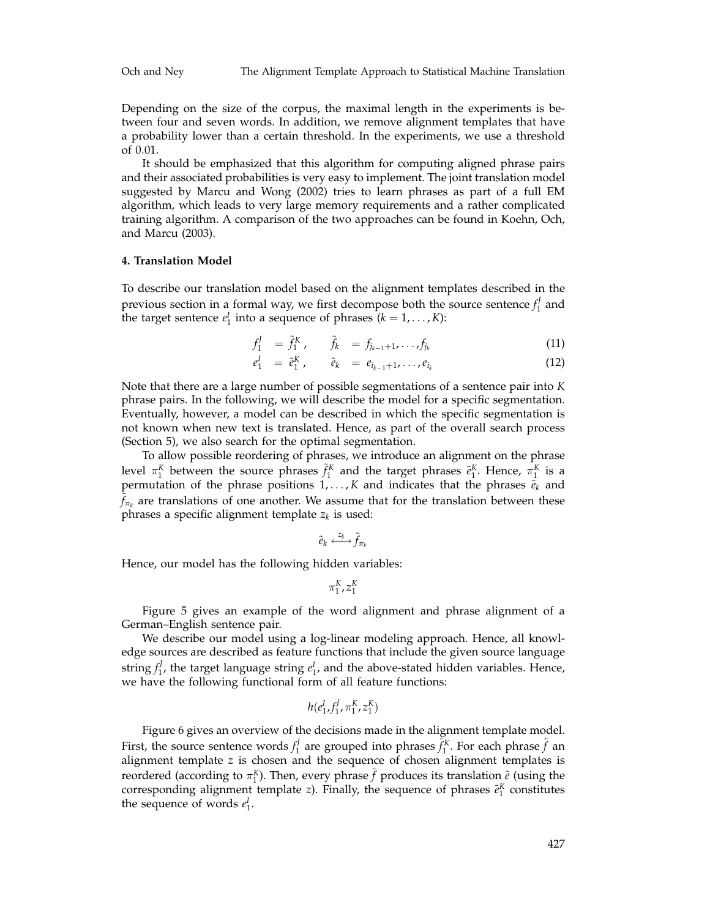Depending on the size of the corpus, the maximal length in the experiments is between four and seven words. In addition, we remove alignment templates that have a probability lower than a certain threshold. In the experiments, we use a threshold of 0.01.

It should be emphasized that this algorithm for computing aligned phrase pairs and their associated probabilities is very easy to implement. The joint translation model suggested by Marcu and Wong (2002) tries to learn phrases as part of a full EM algorithm, which leads to very large memory requirements and a rather complicated training algorithm. A comparison of the two approaches can be found in Koehn, Och, and Marcu (2003).

## **4. Translation Model**

To describe our translation model based on the alignment templates described in the previous section in a formal way, we first decompose both the source sentence  $f_1^f$  and the target sentence  $e_1^I$  into a sequence of phrases  $(k = 1, ..., K)$ :

$$
f_1^J = \tilde{f}_1^K, \qquad \tilde{f}_k = f_{j_{k-1}+1}, \ldots, f_{j_k}
$$
 (11)

$$
e_1^I = \tilde{e}_1^K, \qquad \tilde{e}_k = e_{i_{k-1}+1}, \ldots, e_{i_k}
$$
 (12)

Note that there are a large number of possible segmentations of a sentence pair into *K* phrase pairs. In the following, we will describe the model for a specific segmentation. Eventually, however, a model can be described in which the specific segmentation is not known when new text is translated. Hence, as part of the overall search process (Section 5), we also search for the optimal segmentation.

To allow possible reordering of phrases, we introduce an alignment on the phrase level  $\pi_1^K$  between the source phrases  $\tilde{f}_1^K$  and the target phrases  $\tilde{e}_1^K$ . Hence,  $\pi_1^K$  is a permutation of the phrase positions  $1, \ldots, K$  and indicates that the phrases  $\vec{e}_k$  and  $f_{\pi_k}$  are translations of one another. We assume that for the translation between these phrases a specific alignment template  $z_k$  is used:

$$
\tilde{e}_k \xleftarrow{z_k} \tilde{f}_{\pi_k}
$$

Hence, our model has the following hidden variables:

$$
\pi_1^K,z_1^K
$$

Figure 5 gives an example of the word alignment and phrase alignment of a German–English sentence pair.

We describe our model using a log-linear modeling approach. Hence, all knowledge sources are described as feature functions that include the given source language string  $f_1^f$ , the target language string  $e_1^I$ , and the above-stated hidden variables. Hence, we have the following functional form of all feature functions:

$$
h(e_1^I, f_1^J, \pi_1^K, z_1^K)
$$

Figure 6 gives an overview of the decisions made in the alignment template model. First, the source sentence words  $f_1^J$  are grouped into phrases  $\tilde{f}_1^K$ . For each phrase  $\tilde{f}$  an alignment template *z* is chosen and the sequence of chosen alignment templates is reordered (according to  $\pi_1^K$ ). Then, every phrase  $\tilde{f}$  produces its translation  $\tilde{e}$  (using the corresponding alignment template *z*). Finally, the sequence of phrases  $\tilde{e}_1^K$  constitutes the sequence of words  $e_1^I$ .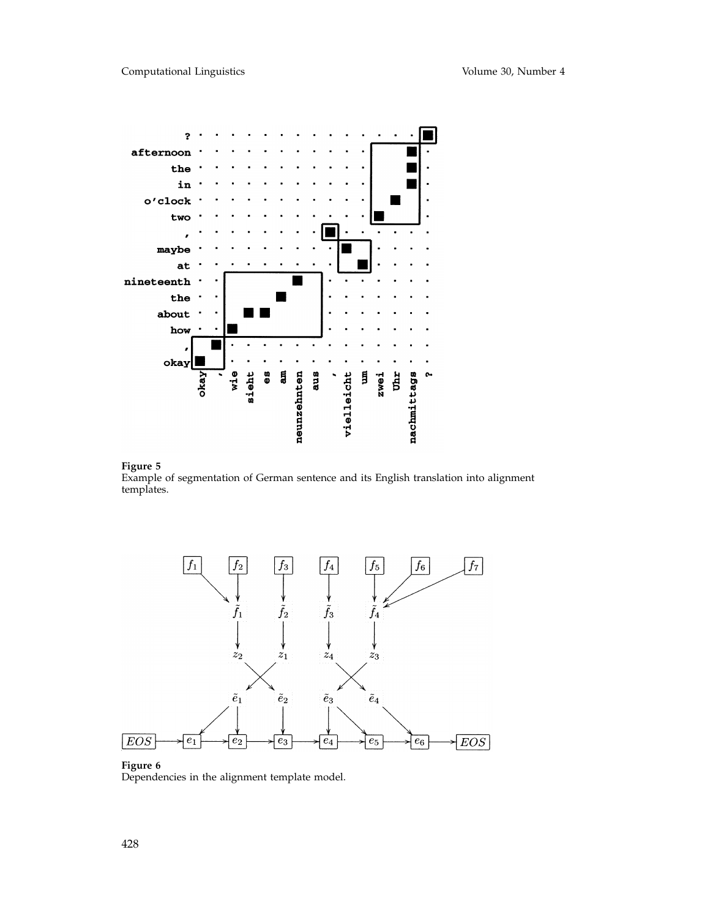



Example of segmentation of German sentence and its English translation into alignment templates.



# **Figure 6**

Dependencies in the alignment template model.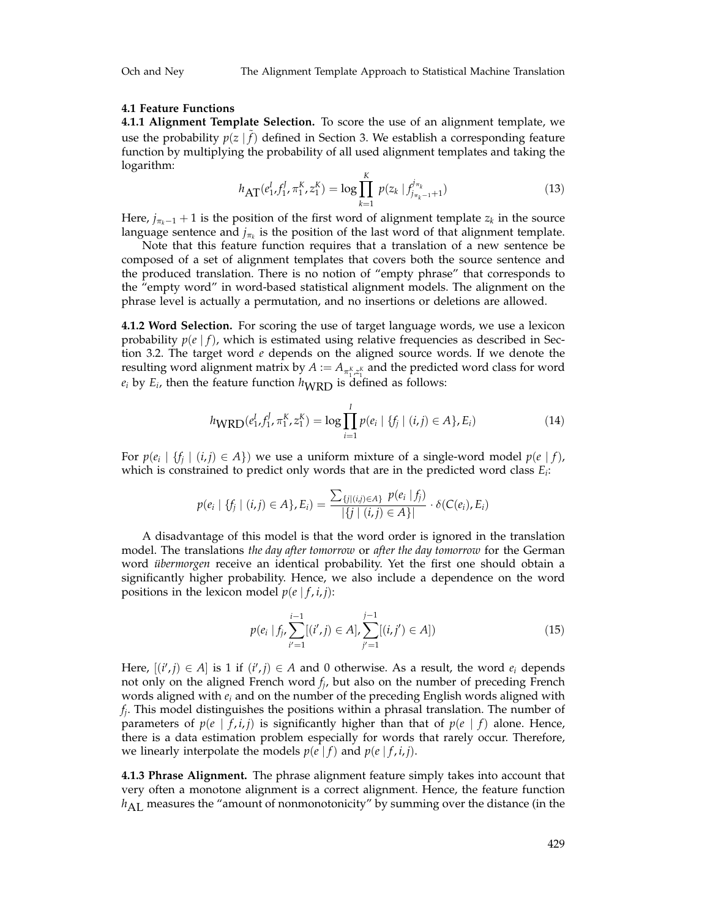# **4.1 Feature Functions**

**4.1.1 Alignment Template Selection.** To score the use of an alignment template, we use the probability  $p(z | f)$  defined in Section 3. We establish a corresponding feature function by multiplying the probability of all used alignment templates and taking the logarithm:

$$
h_{\text{AT}}(e_1^I, f_1^I, \pi_1^K, z_1^K) = \log \prod_{k=1}^K p(z_k \mid f_{j_{\pi_k - 1} + 1}^{j_{\pi_k}})
$$
\n(13)

Here,  $j_{\pi_k-1}$  + 1 is the position of the first word of alignment template  $z_k$  in the source language sentence and  $j_{\pi_k}$  is the position of the last word of that alignment template.

Note that this feature function requires that a translation of a new sentence be composed of a set of alignment templates that covers both the source sentence and the produced translation. There is no notion of "empty phrase" that corresponds to the "empty word" in word-based statistical alignment models. The alignment on the phrase level is actually a permutation, and no insertions or deletions are allowed.

**4.1.2 Word Selection.** For scoring the use of target language words, we use a lexicon probability  $p(e | f)$ , which is estimated using relative frequencies as described in Section 3.2. The target word *e* depends on the aligned source words. If we denote the resulting word alignment matrix by  $A := A_{\pi_1^K, z_1^K}$  and the predicted word class for word  $e_i$  by  $E_i$ , then the feature function  $h_{\text{WRD}}$  is defined as follows:

$$
h_{\text{WRD}}(e_1^I, f_1^J, \pi_1^K, z_1^K) = \log \prod_{i=1}^I p(e_i \mid \{f_j \mid (i,j) \in A\}, E_i)
$$
 (14)

For  $p(e_i \mid \{f_i \mid (i,j) \in A\})$  we use a uniform mixture of a single-word model  $p(e \mid f)$ , which is constrained to predict only words that are in the predicted word class *Ei*:

$$
p(e_i | \{f_j | (i,j) \in A\}, E_i) = \frac{\sum_{\{j | (i,j) \in A\}} p(e_i | f_j)}{|\{j | (i,j) \in A\}|} \cdot \delta(C(e_i), E_i)
$$

A disadvantage of this model is that the word order is ignored in the translation model. The translations *the day after tomorrow* or *after the day tomorrow* for the German word *übermorgen* receive an identical probability. Yet the first one should obtain a significantly higher probability. Hence, we also include a dependence on the word positions in the lexicon model  $p(e | f, i, j)$ :

$$
p(e_i | f_j, \sum_{i'=1}^{i-1} [(i', j) \in A], \sum_{j'=1}^{j-1} [(i, j') \in A])
$$
\n(15)

Here,  $[(i',j) \in A]$  is 1 if  $(i',j) \in A$  and 0 otherwise. As a result, the word  $e_i$  depends not only on the aligned French word *fj*, but also on the number of preceding French words aligned with *ei* and on the number of the preceding English words aligned with *fj*. This model distinguishes the positions within a phrasal translation. The number of parameters of  $p(e \mid f, i, j)$  is significantly higher than that of  $p(e \mid f)$  alone. Hence, there is a data estimation problem especially for words that rarely occur. Therefore, we linearly interpolate the models  $p(e|f)$  and  $p(e|f, i, j)$ .

**4.1.3 Phrase Alignment.** The phrase alignment feature simply takes into account that very often a monotone alignment is a correct alignment. Hence, the feature function *h*<sub>AL</sub> measures the "amount of nonmonotonicity" by summing over the distance (in the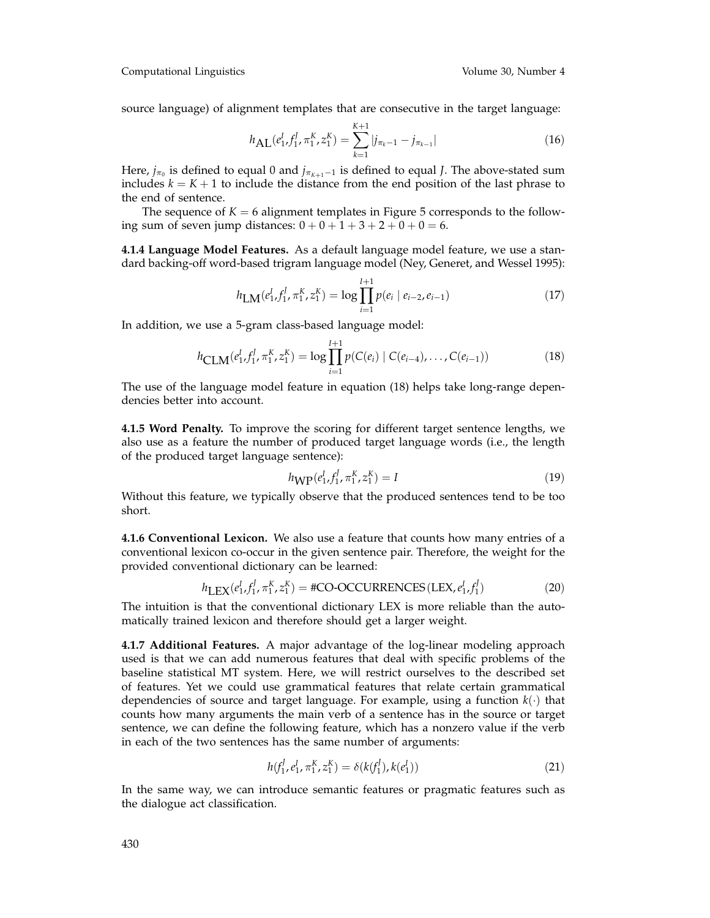Computational Linguistics Volume 30, Number 4

source language) of alignment templates that are consecutive in the target language:

$$
h_{\text{AL}}(e_1^I, f_1^J, \pi_1^K, z_1^K) = \sum_{k=1}^{K+1} |j_{\pi_k - 1} - j_{\pi_{k-1}}| \tag{16}
$$

Here,  $j_{\pi_0}$  is defined to equal 0 and  $j_{\pi_{K+1}-1}$  is defined to equal *J*. The above-stated sum includes  $k = K + 1$  to include the distance from the end position of the last phrase to the end of sentence.

The sequence of  $K = 6$  alignment templates in Figure 5 corresponds to the following sum of seven jump distances:  $0 + 0 + 1 + 3 + 2 + 0 + 0 = 6$ .

**4.1.4 Language Model Features.** As a default language model feature, we use a standard backing-off word-based trigram language model (Ney, Generet, and Wessel 1995):

$$
h_{LM}(e_1^I, f_1^J, \pi_1^K, z_1^K) = \log \prod_{i=1}^{I+1} p(e_i \mid e_{i-2}, e_{i-1})
$$
\n(17)

In addition, we use a 5-gram class-based language model:

$$
h_{\text{CLM}}(e_1^I, f_1^J, \pi_1^K, z_1^K) = \log \prod_{i=1}^{I+1} p(C(e_i) \mid C(e_{i-4}), \dots, C(e_{i-1}))
$$
(18)

The use of the language model feature in equation (18) helps take long-range dependencies better into account.

**4.1.5 Word Penalty.** To improve the scoring for different target sentence lengths, we also use as a feature the number of produced target language words (i.e., the length of the produced target language sentence):

$$
h_{\text{WP}}(e_1^I, f_1^J, \pi_1^K, z_1^K) = I \tag{19}
$$

Without this feature, we typically observe that the produced sentences tend to be too short.

**4.1.6 Conventional Lexicon.** We also use a feature that counts how many entries of a conventional lexicon co-occur in the given sentence pair. Therefore, the weight for the provided conventional dictionary can be learned:

$$
h_{\text{LEX}}(e_1^I, f_1^J, \pi_1^K, z_1^K) = #CO-OCCURRENCES(LEX, e_1^I, f_1^J)
$$
(20)

The intuition is that the conventional dictionary LEX is more reliable than the automatically trained lexicon and therefore should get a larger weight.

**4.1.7 Additional Features.** A major advantage of the log-linear modeling approach used is that we can add numerous features that deal with specific problems of the baseline statistical MT system. Here, we will restrict ourselves to the described set of features. Yet we could use grammatical features that relate certain grammatical dependencies of source and target language. For example, using a function  $k(\cdot)$  that counts how many arguments the main verb of a sentence has in the source or target sentence, we can define the following feature, which has a nonzero value if the verb in each of the two sentences has the same number of arguments:

$$
h(f_1^J, e_1^I, \pi_1^K, z_1^K) = \delta(k(f_1^J), k(e_1^I))
$$
\n(21)

In the same way, we can introduce semantic features or pragmatic features such as the dialogue act classification.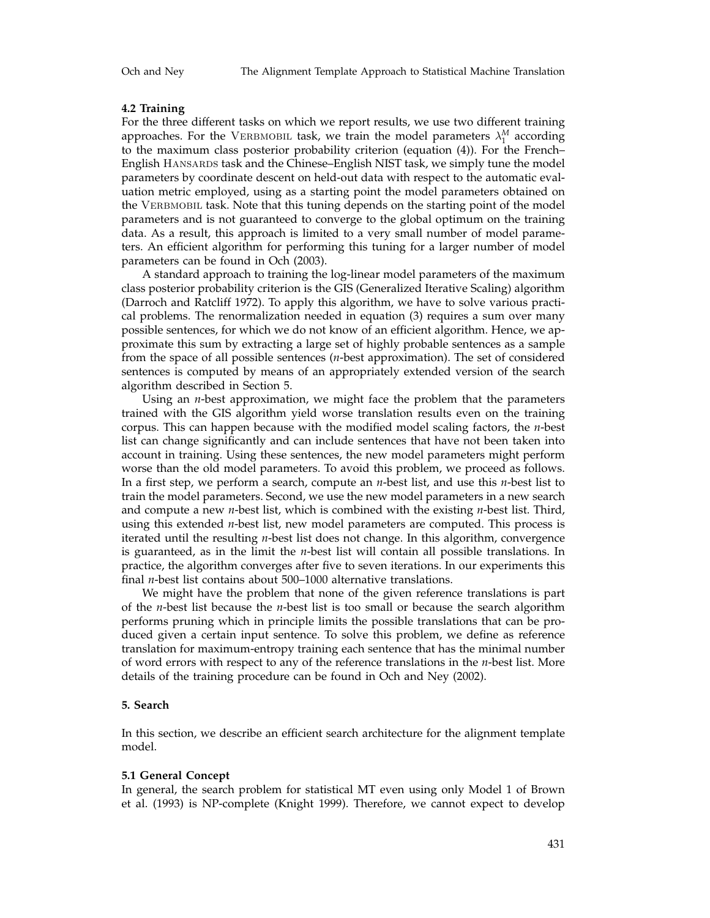# **4.2 Training**

For the three different tasks on which we report results, we use two different training approaches. For the VERBMOBIL task, we train the model parameters  $\lambda_1^M$  according to the maximum class posterior probability criterion (equation (4)). For the French– English Hansards task and the Chinese–English NIST task, we simply tune the model parameters by coordinate descent on held-out data with respect to the automatic evaluation metric employed, using as a starting point the model parameters obtained on the VERBMOBIL task. Note that this tuning depends on the starting point of the model parameters and is not guaranteed to converge to the global optimum on the training data. As a result, this approach is limited to a very small number of model parameters. An efficient algorithm for performing this tuning for a larger number of model parameters can be found in Och (2003).

A standard approach to training the log-linear model parameters of the maximum class posterior probability criterion is the GIS (Generalized Iterative Scaling) algorithm (Darroch and Ratcliff 1972). To apply this algorithm, we have to solve various practical problems. The renormalization needed in equation (3) requires a sum over many possible sentences, for which we do not know of an efficient algorithm. Hence, we approximate this sum by extracting a large set of highly probable sentences as a sample from the space of all possible sentences (*n*-best approximation). The set of considered sentences is computed by means of an appropriately extended version of the search algorithm described in Section 5.

Using an *n*-best approximation, we might face the problem that the parameters trained with the GIS algorithm yield worse translation results even on the training corpus. This can happen because with the modified model scaling factors, the *n*-best list can change significantly and can include sentences that have not been taken into account in training. Using these sentences, the new model parameters might perform worse than the old model parameters. To avoid this problem, we proceed as follows. In a first step, we perform a search, compute an *n*-best list, and use this *n*-best list to train the model parameters. Second, we use the new model parameters in a new search and compute a new *n*-best list, which is combined with the existing *n*-best list. Third, using this extended *n*-best list, new model parameters are computed. This process is iterated until the resulting *n*-best list does not change. In this algorithm, convergence is guaranteed, as in the limit the *n*-best list will contain all possible translations. In practice, the algorithm converges after five to seven iterations. In our experiments this final *n*-best list contains about 500–1000 alternative translations.

We might have the problem that none of the given reference translations is part of the *n*-best list because the *n*-best list is too small or because the search algorithm performs pruning which in principle limits the possible translations that can be produced given a certain input sentence. To solve this problem, we define as reference translation for maximum-entropy training each sentence that has the minimal number of word errors with respect to any of the reference translations in the *n*-best list. More details of the training procedure can be found in Och and Ney (2002).

# **5. Search**

In this section, we describe an efficient search architecture for the alignment template model.

#### **5.1 General Concept**

In general, the search problem for statistical MT even using only Model 1 of Brown et al. (1993) is NP-complete (Knight 1999). Therefore, we cannot expect to develop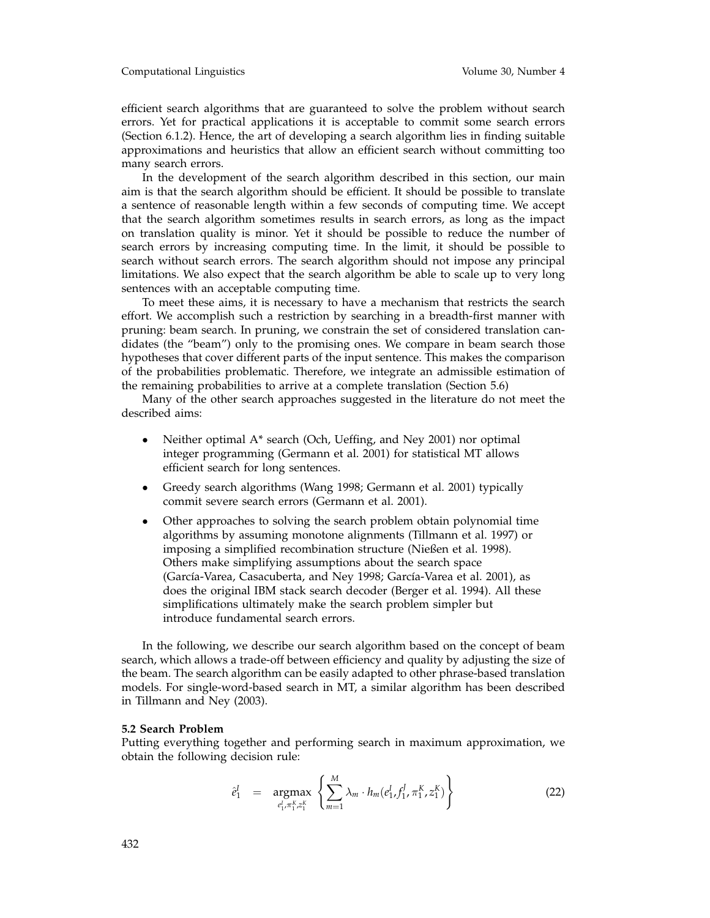#### Computational Linguistics Volume 30, Number 4

efficient search algorithms that are guaranteed to solve the problem without search errors. Yet for practical applications it is acceptable to commit some search errors (Section 6.1.2). Hence, the art of developing a search algorithm lies in finding suitable approximations and heuristics that allow an efficient search without committing too many search errors.

In the development of the search algorithm described in this section, our main aim is that the search algorithm should be efficient. It should be possible to translate a sentence of reasonable length within a few seconds of computing time. We accept that the search algorithm sometimes results in search errors, as long as the impact on translation quality is minor. Yet it should be possible to reduce the number of search errors by increasing computing time. In the limit, it should be possible to search without search errors. The search algorithm should not impose any principal limitations. We also expect that the search algorithm be able to scale up to very long sentences with an acceptable computing time.

To meet these aims, it is necessary to have a mechanism that restricts the search effort. We accomplish such a restriction by searching in a breadth-first manner with pruning: beam search. In pruning, we constrain the set of considered translation candidates (the "beam") only to the promising ones. We compare in beam search those hypotheses that cover different parts of the input sentence. This makes the comparison of the probabilities problematic. Therefore, we integrate an admissible estimation of the remaining probabilities to arrive at a complete translation (Section 5.6)

Many of the other search approaches suggested in the literature do not meet the described aims:

- Neither optimal A\* search (Och, Ueffing, and Ney 2001) nor optimal integer programming (Germann et al. 2001) for statistical MT allows efficient search for long sentences.
- Greedy search algorithms (Wang 1998; Germann et al. 2001) typically commit severe search errors (Germann et al. 2001).
- Other approaches to solving the search problem obtain polynomial time algorithms by assuming monotone alignments (Tillmann et al. 1997) or imposing a simplified recombination structure (Nießen et al. 1998). Others make simplifying assumptions about the search space (García-Varea, Casacuberta, and Ney 1998; García-Varea et al. 2001), as does the original IBM stack search decoder (Berger et al. 1994). All these simplifications ultimately make the search problem simpler but introduce fundamental search errors.

In the following, we describe our search algorithm based on the concept of beam search, which allows a trade-off between efficiency and quality by adjusting the size of the beam. The search algorithm can be easily adapted to other phrase-based translation models. For single-word-based search in MT, a similar algorithm has been described in Tillmann and Ney (2003).

## **5.2 Search Problem**

Putting everything together and performing search in maximum approximation, we obtain the following decision rule:

$$
\hat{e}_1^I = \underset{e_1^I, \pi_1^K, z_1^K}{\text{argmax}} \left\{ \sum_{m=1}^M \lambda_m \cdot h_m(e_1^I, f_1^J, \pi_1^K, z_1^K) \right\} \tag{22}
$$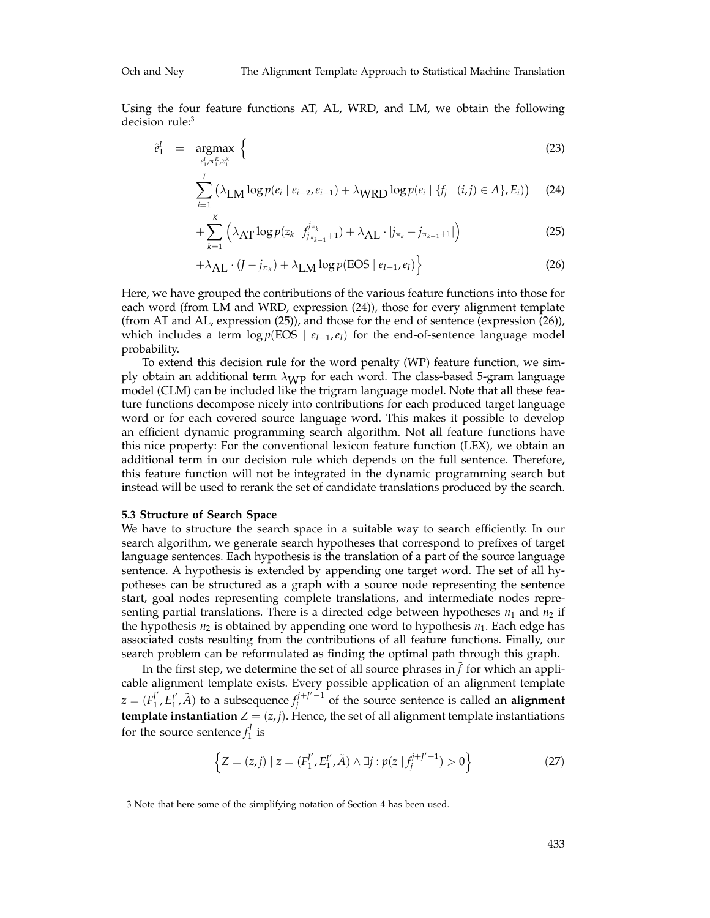Using the four feature functions AT, AL, WRD, and LM, we obtain the following decision rule:<sup>3</sup>

$$
\hat{e}_1^I = \underset{e_1^I, \pi_1^K, z_1^K}{\text{argmax}} \left\{ \tag{23} \right\}
$$

$$
\sum_{i=1}^{I} (\lambda_{LM} \log p(e_i \mid e_{i-2}, e_{i-1}) + \lambda_{WRD} \log p(e_i \mid \{f_j \mid (i,j) \in A\}, E_i)) \quad (24)
$$

$$
+\sum_{k=1}^{K} \left(\lambda_{\text{AT}} \log p(z_k \mid f_{j_{\pi_{k-1}}+1}^{j_{\pi_k}}) + \lambda_{\text{AL}} \cdot |j_{\pi_k} - j_{\pi_{k-1}+1}| \right) \tag{25}
$$

$$
+\lambda_{\text{AL}} \cdot (J - j_{\pi_K}) + \lambda_{\text{LM}} \log p(\text{EOS} \mid e_{I-1}, e_I) \big\}
$$
 (26)

Here, we have grouped the contributions of the various feature functions into those for each word (from LM and WRD, expression (24)), those for every alignment template (from AT and AL, expression (25)), and those for the end of sentence (expression (26)), which includes a term  $\log p(\text{EOS} \mid e_{I-1}, e_I)$  for the end-of-sentence language model probability.

To extend this decision rule for the word penalty (WP) feature function, we simply obtain an additional term  $\lambda_{\text{WP}}$  for each word. The class-based 5-gram language model (CLM) can be included like the trigram language model. Note that all these feature functions decompose nicely into contributions for each produced target language word or for each covered source language word. This makes it possible to develop an efficient dynamic programming search algorithm. Not all feature functions have this nice property: For the conventional lexicon feature function (LEX), we obtain an additional term in our decision rule which depends on the full sentence. Therefore, this feature function will not be integrated in the dynamic programming search but instead will be used to rerank the set of candidate translations produced by the search.

#### **5.3 Structure of Search Space**

We have to structure the search space in a suitable way to search efficiently. In our search algorithm, we generate search hypotheses that correspond to prefixes of target language sentences. Each hypothesis is the translation of a part of the source language sentence. A hypothesis is extended by appending one target word. The set of all hypotheses can be structured as a graph with a source node representing the sentence start, goal nodes representing complete translations, and intermediate nodes representing partial translations. There is a directed edge between hypotheses  $n_1$  and  $n_2$  if the hypothesis  $n_2$  is obtained by appending one word to hypothesis  $n_1$ . Each edge has associated costs resulting from the contributions of all feature functions. Finally, our search problem can be reformulated as finding the optimal path through this graph.

In the first step, we determine the set of all source phrases in  $\tilde{f}$  for which an applicable alignment template exists. Every possible application of an alignment template  $z = (F_1^{\prime\prime}, F_1^{\prime\prime}, \tilde{A})$  to a subsequence  $f_j^{j+j'-1}$  of the source sentence is called an **alignment template instantiation**  $Z = (z, j)$ . Hence, the set of all alignment template instantiations for the source sentence  $f_1^J$  is

$$
\left\{ Z = (z, j) \mid z = (F_1^{j'}, E_1^{j'}, \tilde{A}) \wedge \exists j : p(z \mid f_j^{j+j'-1}) > 0 \right\}
$$
 (27)

<sup>3</sup> Note that here some of the simplifying notation of Section 4 has been used.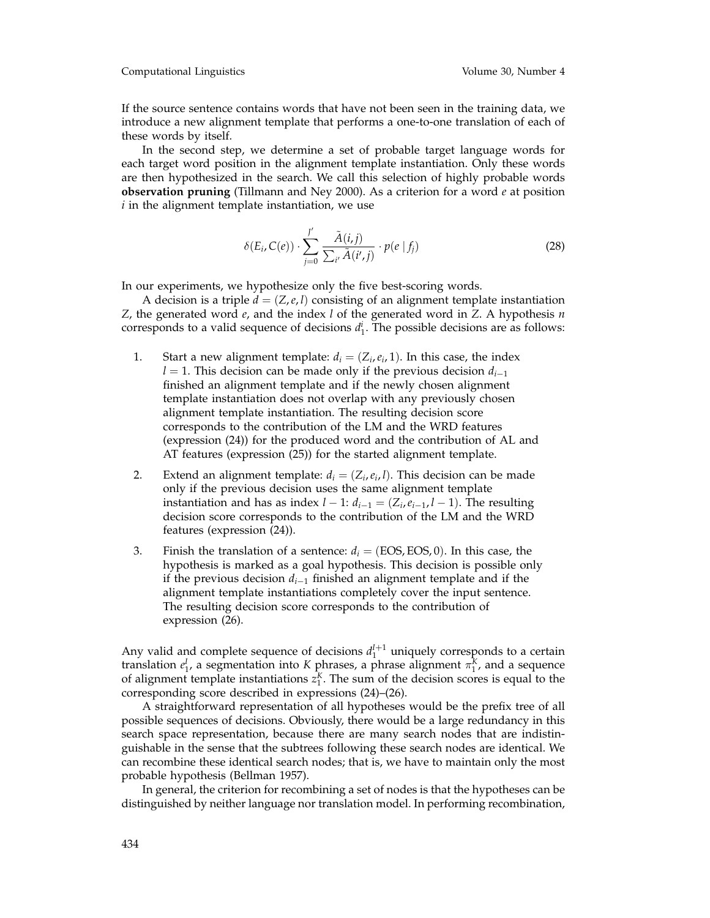Computational Linguistics Volume 30, Number 4

If the source sentence contains words that have not been seen in the training data, we introduce a new alignment template that performs a one-to-one translation of each of these words by itself.

In the second step, we determine a set of probable target language words for each target word position in the alignment template instantiation. Only these words are then hypothesized in the search. We call this selection of highly probable words **observation pruning** (Tillmann and Ney 2000). As a criterion for a word *e* at position *i* in the alignment template instantiation, we use

$$
\delta(E_i, C(e)) \cdot \sum_{j=0}^{J'} \frac{\tilde{A}(i,j)}{\sum_{i'} \tilde{A}(i',j)} \cdot p(e \mid f_j)
$$
 (28)

In our experiments, we hypothesize only the five best-scoring words.

A decision is a triple  $d = (Z, e, l)$  consisting of an alignment template instantiation *Z*, the generated word *e*, and the index *l* of the generated word in *Z*. A hypothesis *n* corresponds to a valid sequence of decisions  $d_1^i$ . The possible decisions are as follows:

- 1. Start a new alignment template:  $d_i = (Z_i, e_i, 1)$ . In this case, the index *l* = 1. This decision can be made only if the previous decision  $d_{i-1}$ finished an alignment template and if the newly chosen alignment template instantiation does not overlap with any previously chosen alignment template instantiation. The resulting decision score corresponds to the contribution of the LM and the WRD features (expression (24)) for the produced word and the contribution of AL and AT features (expression (25)) for the started alignment template.
- 2. Extend an alignment template:  $d_i = (Z_i, e_i, l)$ . This decision can be made only if the previous decision uses the same alignment template instantiation and has as index  $l - 1$ :  $d_{i-1} = (Z_i, e_{i-1}, l - 1)$ . The resulting decision score corresponds to the contribution of the LM and the WRD features (expression (24)).
- 3. Finish the translation of a sentence:  $d_i = (EOS, EOS, 0)$ . In this case, the hypothesis is marked as a goal hypothesis. This decision is possible only if the previous decision *di*<sup>−</sup><sup>1</sup> finished an alignment template and if the alignment template instantiations completely cover the input sentence. The resulting decision score corresponds to the contribution of expression (26).

Any valid and complete sequence of decisions  $d_1^{I+1}$  uniquely corresponds to a certain translation  $e_1^I$ , a segmentation into *K* phrases, a phrase alignment  $\pi_1^K$ , and a sequence of alignment template instantiations  $z_1^K$ . The sum of the decision scores is equal to the corresponding score described in expressions (24)–(26).

A straightforward representation of all hypotheses would be the prefix tree of all possible sequences of decisions. Obviously, there would be a large redundancy in this search space representation, because there are many search nodes that are indistinguishable in the sense that the subtrees following these search nodes are identical. We can recombine these identical search nodes; that is, we have to maintain only the most probable hypothesis (Bellman 1957).

In general, the criterion for recombining a set of nodes is that the hypotheses can be distinguished by neither language nor translation model. In performing recombination,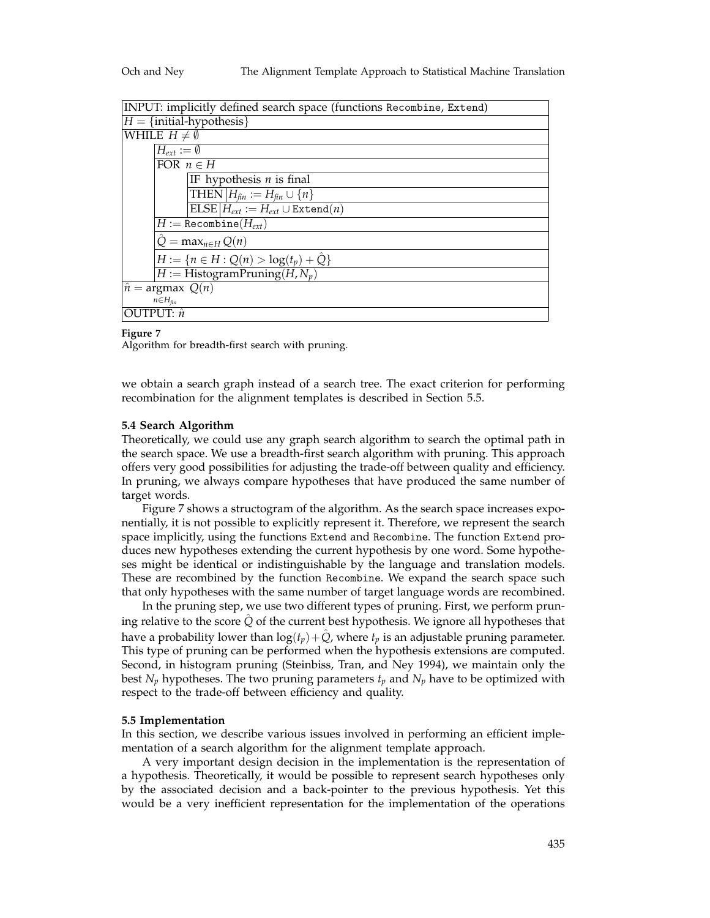| INPUT: implicitly defined search space (functions Recombine, Extend) |
|----------------------------------------------------------------------|
| $H = \{initial-hypothesis\}$                                         |
| WHILE $H \neq \emptyset$                                             |
| $H_{\text{ext}} := \emptyset$                                        |
| FOR $n \in H$                                                        |
| IF hypothesis $n$ is final                                           |
| THEN $H_{fin} := H_{fin} \cup \{n\}$                                 |
| $ELSE H_{ext} := H_{ext} \cup Extend(n)$                             |
| $H := \texttt{Recombine}(H_{ext})$                                   |
| $Q = \max_{n \in H} Q(n)$                                            |
| $H := \{ n \in H : Q(n) > log(t_p) + Q \}$                           |
| $H := H$ istogramPruning(H, N <sub>v</sub> )                         |
| $\hat{n}$ = argmax $Q(n)$                                            |
| $n \in H_{fin}$                                                      |
| OUTPUT: $\hat{n}$                                                    |

#### **Figure 7**

Algorithm for breadth-first search with pruning.

we obtain a search graph instead of a search tree. The exact criterion for performing recombination for the alignment templates is described in Section 5.5.

# **5.4 Search Algorithm**

Theoretically, we could use any graph search algorithm to search the optimal path in the search space. We use a breadth-first search algorithm with pruning. This approach offers very good possibilities for adjusting the trade-off between quality and efficiency. In pruning, we always compare hypotheses that have produced the same number of target words.

Figure 7 shows a structogram of the algorithm. As the search space increases exponentially, it is not possible to explicitly represent it. Therefore, we represent the search space implicitly, using the functions Extend and Recombine. The function Extend produces new hypotheses extending the current hypothesis by one word. Some hypotheses might be identical or indistinguishable by the language and translation models. These are recombined by the function Recombine. We expand the search space such that only hypotheses with the same number of target language words are recombined.

In the pruning step, we use two different types of pruning. First, we perform pruning relative to the score *Q*ˆ of the current best hypothesis. We ignore all hypotheses that have a probability lower than  $log(t_p) + Q$ *,* where  $t_p$  is an adjustable pruning parameter. This type of pruning can be performed when the hypothesis extensions are computed. Second, in histogram pruning (Steinbiss, Tran, and Ney 1994), we maintain only the best  $N_p$  hypotheses. The two pruning parameters  $t_p$  and  $N_p$  have to be optimized with respect to the trade-off between efficiency and quality.

#### **5.5 Implementation**

In this section, we describe various issues involved in performing an efficient implementation of a search algorithm for the alignment template approach.

A very important design decision in the implementation is the representation of a hypothesis. Theoretically, it would be possible to represent search hypotheses only by the associated decision and a back-pointer to the previous hypothesis. Yet this would be a very inefficient representation for the implementation of the operations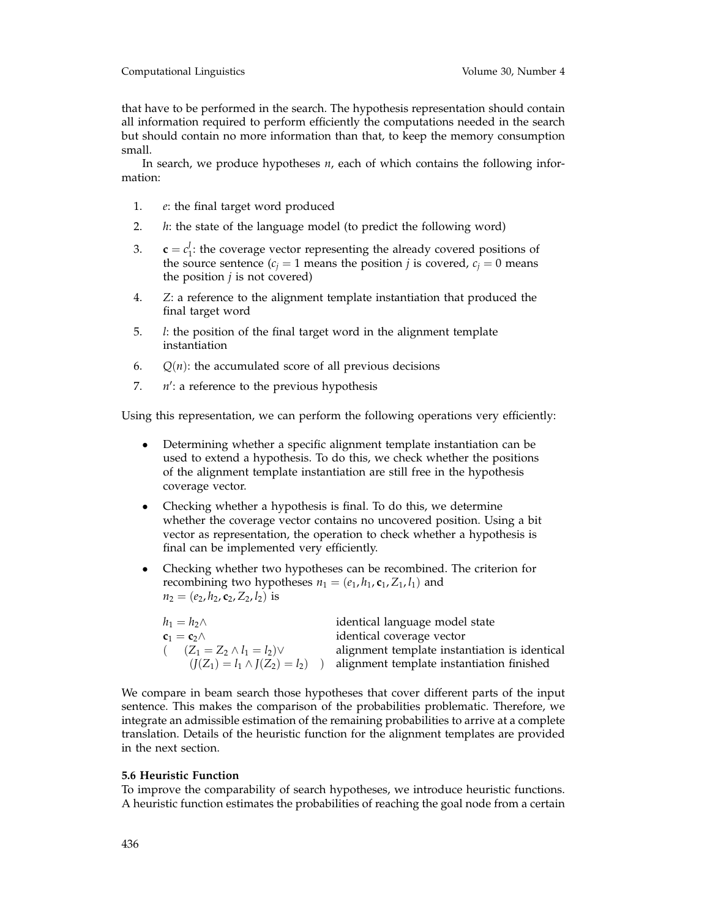that have to be performed in the search. The hypothesis representation should contain all information required to perform efficiently the computations needed in the search but should contain no more information than that, to keep the memory consumption small.

In search, we produce hypotheses *n*, each of which contains the following information:

- 1. *e*: the final target word produced
- 2. *h*: the state of the language model (to predict the following word)
- 3.  $\mathbf{c} = c_1^j$ : the coverage vector representing the already covered positions of the source sentence  $(c<sub>i</sub> = 1$  means the position *j* is covered,  $c<sub>i</sub> = 0$  means the position *j* is not covered)
- 4. *Z*: a reference to the alignment template instantiation that produced the final target word
- 5. *l*: the position of the final target word in the alignment template instantiation
- 6.  $Q(n)$ : the accumulated score of all previous decisions
- 7.  $n'$ : a reference to the previous hypothesis

Using this representation, we can perform the following operations very efficiently:

- Determining whether a specific alignment template instantiation can be used to extend a hypothesis. To do this, we check whether the positions of the alignment template instantiation are still free in the hypothesis coverage vector.
- Checking whether a hypothesis is final. To do this, we determine whether the coverage vector contains no uncovered position. Using a bit vector as representation, the operation to check whether a hypothesis is final can be implemented very efficiently.
- Checking whether two hypotheses can be recombined. The criterion for recombining two hypotheses  $n_1 = (e_1, h_1, c_1, Z_1, l_1)$  and  $n_2 = (e_2, h_2, \mathbf{c}_2, Z_2, l_2)$  is

| $h_1 = h_2 \wedge$                   | identical language model state                |
|--------------------------------------|-----------------------------------------------|
| $c_1 = c_2 \wedge$                   | identical coverage vector                     |
| $(Z_1 = Z_2 \wedge l_1 = l_2) \vee$  | alignment template instantiation is identical |
| $(J(Z_1) = l_1 \wedge J(Z_2) = l_2)$ | alignment template instantiation finished     |

We compare in beam search those hypotheses that cover different parts of the input sentence. This makes the comparison of the probabilities problematic. Therefore, we integrate an admissible estimation of the remaining probabilities to arrive at a complete translation. Details of the heuristic function for the alignment templates are provided in the next section.

# **5.6 Heuristic Function**

To improve the comparability of search hypotheses, we introduce heuristic functions. A heuristic function estimates the probabilities of reaching the goal node from a certain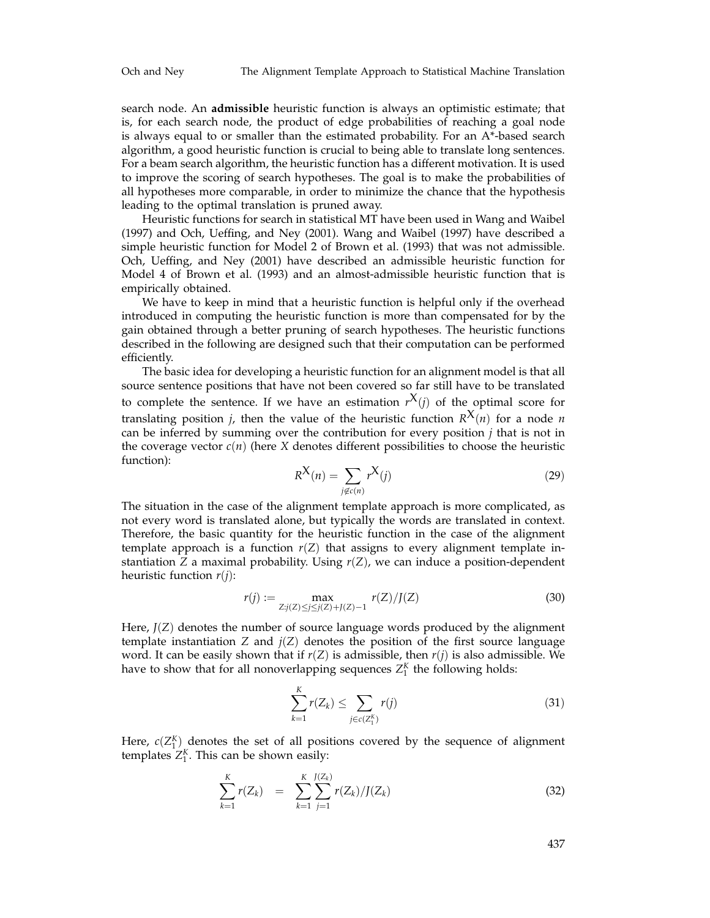search node. An **admissible** heuristic function is always an optimistic estimate; that is, for each search node, the product of edge probabilities of reaching a goal node is always equal to or smaller than the estimated probability. For an A\*-based search algorithm, a good heuristic function is crucial to being able to translate long sentences. For a beam search algorithm, the heuristic function has a different motivation. It is used to improve the scoring of search hypotheses. The goal is to make the probabilities of all hypotheses more comparable, in order to minimize the chance that the hypothesis leading to the optimal translation is pruned away.

Heuristic functions for search in statistical MT have been used in Wang and Waibel (1997) and Och, Ueffing, and Ney (2001). Wang and Waibel (1997) have described a simple heuristic function for Model 2 of Brown et al. (1993) that was not admissible. Och, Ueffing, and Ney (2001) have described an admissible heuristic function for Model 4 of Brown et al. (1993) and an almost-admissible heuristic function that is empirically obtained.

We have to keep in mind that a heuristic function is helpful only if the overhead introduced in computing the heuristic function is more than compensated for by the gain obtained through a better pruning of search hypotheses. The heuristic functions described in the following are designed such that their computation can be performed efficiently.

The basic idea for developing a heuristic function for an alignment model is that all source sentence positions that have not been covered so far still have to be translated to complete the sentence. If we have an estimation  $r^X(i)$  of the optimal score for translating position *j*, then the value of the heuristic function  $R^{X}(n)$  for a node *n* can be inferred by summing over the contribution for every position *j* that is not in the coverage vector  $c(n)$  (here *X* denotes different possibilities to choose the heuristic function):

$$
R^{\mathbf{X}}(n) = \sum_{j \notin c(n)} r^{\mathbf{X}}(j) \tag{29}
$$

The situation in the case of the alignment template approach is more complicated, as not every word is translated alone, but typically the words are translated in context. Therefore, the basic quantity for the heuristic function in the case of the alignment template approach is a function  $r(Z)$  that assigns to every alignment template instantiation *Z* a maximal probability. Using *r*(*Z*), we can induce a position-dependent heuristic function *r*(*j*):

$$
r(j) := \max_{Z:j(Z) \le j \le j(Z) + J(Z) - 1} r(Z)/J(Z)
$$
\n(30)

Here,  $J(Z)$  denotes the number of source language words produced by the alignment template instantiation *Z* and  $j(Z)$  denotes the position of the first source language word. It can be easily shown that if *r*(*Z*) is admissible, then *r*(*j*) is also admissible. We have to show that for all nonoverlapping sequences  $Z_1^K$  the following holds:

$$
\sum_{k=1}^{K} r(Z_k) \le \sum_{j \in c(Z_1^K)} r(j) \tag{31}
$$

Here,  $c(Z_1^K)$  denotes the set of all positions covered by the sequence of alignment templates  $Z_1^K$ . This can be shown easily:

$$
\sum_{k=1}^{K} r(Z_k) = \sum_{k=1}^{K} \sum_{j=1}^{J(Z_k)} r(Z_k) / J(Z_k)
$$
\n(32)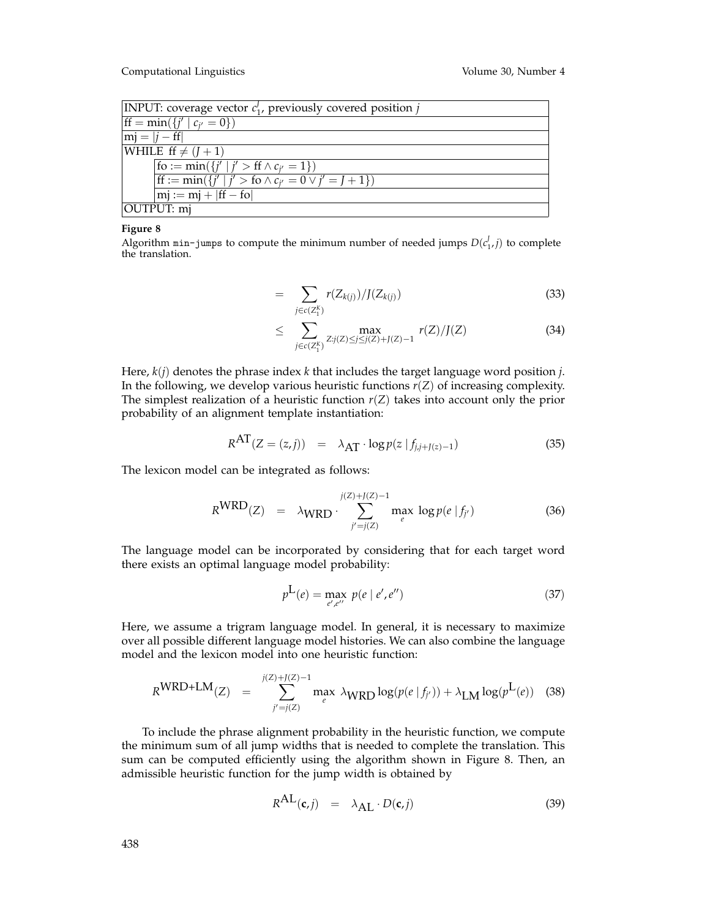| <b>INPUT:</b> coverage vector $c_1$ , previously covered position j    |  |  |  |  |
|------------------------------------------------------------------------|--|--|--|--|
| $\text{If} = \min(\{j' \mid c_{i'} = 0\})$                             |  |  |  |  |
| $ \text{mj} =  j - \text{ff} $                                         |  |  |  |  |
| WHILE $ff \neq (J + 1)$                                                |  |  |  |  |
| $\overline{f}$ fo := min({ $j'   j' > ff \wedge c_{j'} = 1$ })         |  |  |  |  |
| If $:= \min(\{j'   j' > \text{fo} \land c_{i'} = 0 \lor j' = J + 1\})$ |  |  |  |  |
| $ mj := mj +  ff - \overline{fo} $                                     |  |  |  |  |
| OUTPUT: mj                                                             |  |  |  |  |

## **Figure 8**

Algorithm  $min-jumps$  to compute the minimum number of needed jumps  $D(c_1^j, j)$  to complete the translation.

$$
= \sum_{j \in c(Z_1^K)} r(Z_{k(j)}) / J(Z_{k(j)}) \tag{33}
$$

$$
\leq \sum_{j \in c(Z_1^K)} \max_{Z : j(Z) \leq j \leq j(Z) + J(Z) - 1} r(Z) / J(Z) \tag{34}
$$

Here,  $k(i)$  denotes the phrase index  $k$  that includes the target language word position  $j$ . In the following, we develop various heuristic functions *r*(*Z*) of increasing complexity. The simplest realization of a heuristic function  $r(Z)$  takes into account only the prior probability of an alignment template instantiation:

$$
R^{AT}(Z = (z,j)) = \lambda_{AT} \cdot \log p(z \mid f_{j,j+J(z)-1}) \tag{35}
$$

The lexicon model can be integrated as follows:

$$
R^{WRD}(Z) = \lambda_{WRD} \cdot \sum_{j'=j(Z)}^{j(Z)+j(Z)-1} \max_{e} \log p(e \mid f_{j'}) \tag{36}
$$

The language model can be incorporated by considering that for each target word there exists an optimal language model probability:

$$
p^{L}(e) = \max_{e', e''} \ p(e \mid e', e'')
$$
 (37)

Here, we assume a trigram language model. In general, it is necessary to maximize over all possible different language model histories. We can also combine the language model and the lexicon model into one heuristic function:

$$
R^{WRD+LM}(Z) = \sum_{j'=j(Z)}^{j(Z)+j(Z)-1} \max_{e} \lambda_{WRD} \log(p(e|f_{j'})) + \lambda_{LM} \log(p^L(e))
$$
 (38)

To include the phrase alignment probability in the heuristic function, we compute the minimum sum of all jump widths that is needed to complete the translation. This sum can be computed efficiently using the algorithm shown in Figure 8. Then, an admissible heuristic function for the jump width is obtained by

$$
R^{AL}(\mathbf{c},j) = \lambda_{AL} \cdot D(\mathbf{c},j)
$$
 (39)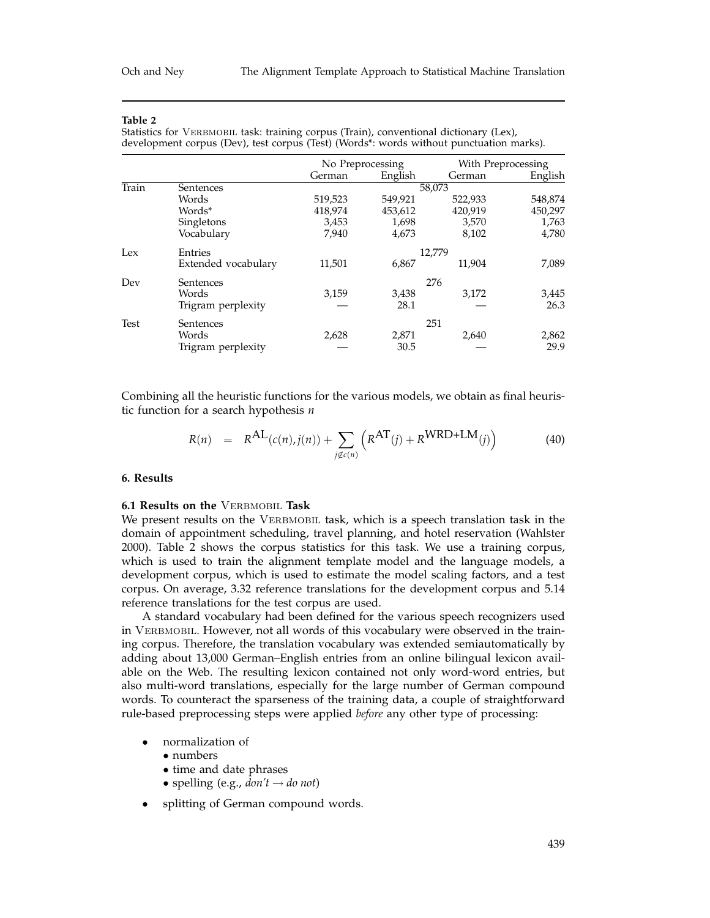Statistics for VERBMOBIL task: training corpus (Train), conventional dictionary (Lex), development corpus (Dev), test corpus (Test) (Words\*: words without punctuation marks).

|             |                     | No Preprocessing |         | With Preprocessing |         |
|-------------|---------------------|------------------|---------|--------------------|---------|
|             |                     | German           | English | German             | English |
| Train       | Sentences           |                  |         | 58,073             |         |
|             | Words               | 519,523          | 549,921 | 522,933            | 548,874 |
|             | Words*              | 418,974          | 453,612 | 420,919            | 450,297 |
|             | Singletons          | 3,453            | 1,698   | 3,570              | 1,763   |
|             | Vocabulary          | 7,940            | 4,673   | 8,102              | 4,780   |
| Lex         | Entries             |                  |         | 12,779             |         |
|             | Extended vocabulary | 11,501           | 6,867   | 11.904             | 7,089   |
| Dev         | Sentences           |                  |         | 276                |         |
|             | Words               | 3,159            | 3,438   | 3.172              | 3,445   |
|             | Trigram perplexity  |                  | 28.1    |                    | 26.3    |
| <b>Test</b> | Sentences           |                  |         | 251                |         |
|             | Words               | 2,628            | 2,871   | 2,640              | 2,862   |
|             | Trigram perplexity  |                  | 30.5    |                    | 29.9    |

Combining all the heuristic functions for the various models, we obtain as final heuristic function for a search hypothesis *n*

$$
R(n) = R^{AL}(c(n), j(n)) + \sum_{j \notin c(n)} \left( R^{AT}(j) + R^{WRD+LM}(j) \right)
$$
(40)

# **6. Results**

# **6.1 Results on the** Verbmobil **Task**

We present results on the VERBMOBIL task, which is a speech translation task in the domain of appointment scheduling, travel planning, and hotel reservation (Wahlster 2000). Table 2 shows the corpus statistics for this task. We use a training corpus, which is used to train the alignment template model and the language models, a development corpus, which is used to estimate the model scaling factors, and a test corpus. On average, 3.32 reference translations for the development corpus and 5.14 reference translations for the test corpus are used.

A standard vocabulary had been defined for the various speech recognizers used in VERBMOBIL. However, not all words of this vocabulary were observed in the training corpus. Therefore, the translation vocabulary was extended semiautomatically by adding about 13,000 German–English entries from an online bilingual lexicon available on the Web. The resulting lexicon contained not only word-word entries, but also multi-word translations, especially for the large number of German compound words. To counteract the sparseness of the training data, a couple of straightforward rule-based preprocessing steps were applied *before* any other type of processing:

- normalization of
	- numbers
	- time and date phrases
	- spelling (e.g.,  $don't \rightarrow do not$ )
- splitting of German compound words.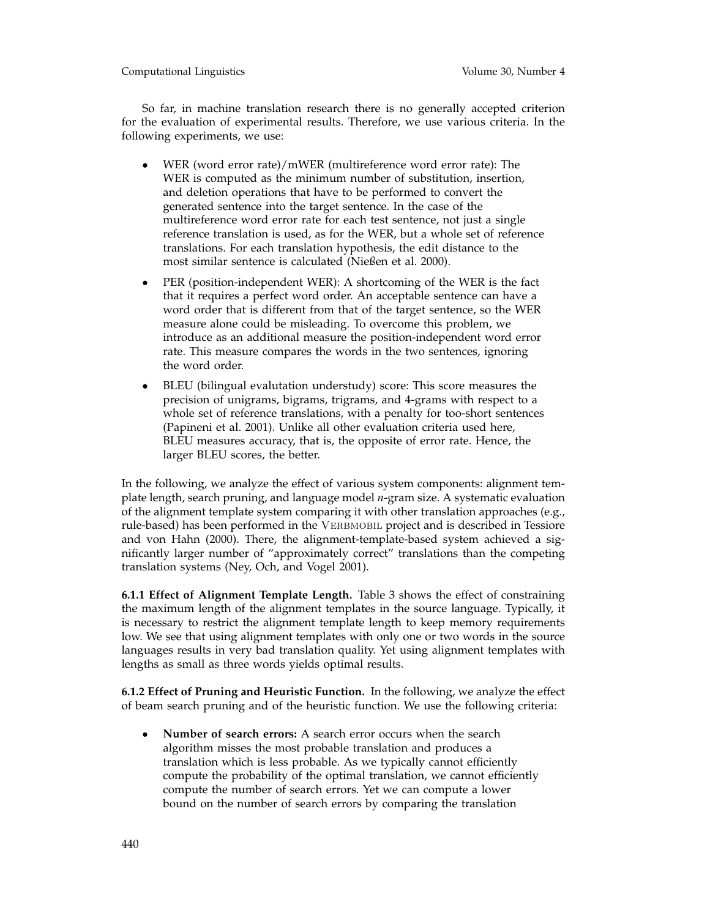Computational Linguistics Volume 30, Number 4

So far, in machine translation research there is no generally accepted criterion for the evaluation of experimental results. Therefore, we use various criteria. In the following experiments, we use:

- WER (word error rate)/mWER (multireference word error rate): The WER is computed as the minimum number of substitution, insertion, and deletion operations that have to be performed to convert the generated sentence into the target sentence. In the case of the multireference word error rate for each test sentence, not just a single reference translation is used, as for the WER, but a whole set of reference translations. For each translation hypothesis, the edit distance to the most similar sentence is calculated (Nießen et al. 2000).
- PER (position-independent WER): A shortcoming of the WER is the fact that it requires a perfect word order. An acceptable sentence can have a word order that is different from that of the target sentence, so the WER measure alone could be misleading. To overcome this problem, we introduce as an additional measure the position-independent word error rate. This measure compares the words in the two sentences, ignoring the word order.
- BLEU (bilingual evalutation understudy) score: This score measures the precision of unigrams, bigrams, trigrams, and 4-grams with respect to a whole set of reference translations, with a penalty for too-short sentences (Papineni et al. 2001). Unlike all other evaluation criteria used here, BLEU measures accuracy, that is, the opposite of error rate. Hence, the larger BLEU scores, the better.

In the following, we analyze the effect of various system components: alignment template length, search pruning, and language model *n*-gram size. A systematic evaluation of the alignment template system comparing it with other translation approaches (e.g., rule-based) has been performed in the VERBMOBIL project and is described in Tessiore and von Hahn (2000). There, the alignment-template-based system achieved a significantly larger number of "approximately correct" translations than the competing translation systems (Ney, Och, and Vogel 2001).

**6.1.1 Effect of Alignment Template Length.** Table 3 shows the effect of constraining the maximum length of the alignment templates in the source language. Typically, it is necessary to restrict the alignment template length to keep memory requirements low. We see that using alignment templates with only one or two words in the source languages results in very bad translation quality. Yet using alignment templates with lengths as small as three words yields optimal results.

**6.1.2 Effect of Pruning and Heuristic Function.** In the following, we analyze the effect of beam search pruning and of the heuristic function. We use the following criteria:

• **Number of search errors:** A search error occurs when the search algorithm misses the most probable translation and produces a translation which is less probable. As we typically cannot efficiently compute the probability of the optimal translation, we cannot efficiently compute the number of search errors. Yet we can compute a lower bound on the number of search errors by comparing the translation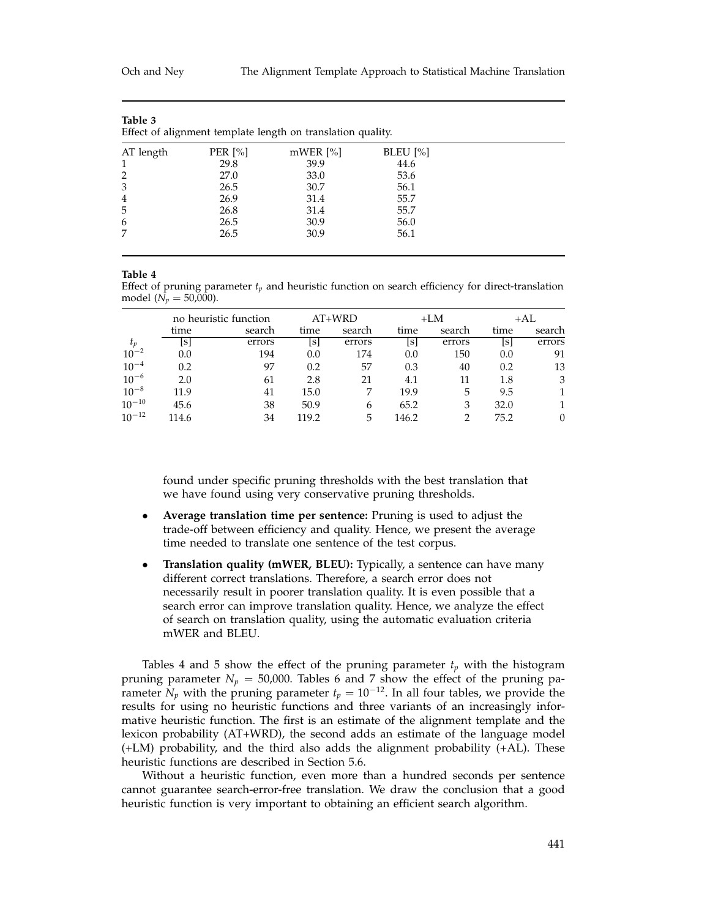| Table 3<br>Effect of alignment template length on translation quality. |            |            |            |  |  |
|------------------------------------------------------------------------|------------|------------|------------|--|--|
| AT length                                                              | PER $[\%]$ | $mWER$ [%] | $BLEU$ [%] |  |  |
|                                                                        | 29.8       | 39.9       | 44.6       |  |  |
| 2                                                                      | 27.0       | 33.0       | 53.6       |  |  |
| 3                                                                      | 26.5       | 30.7       | 56.1       |  |  |
| 4                                                                      | 26.9       | 31.4       | 55.7       |  |  |
| 5                                                                      | 26.8       | 31.4       | 55.7       |  |  |
| 6                                                                      | 26.5       | 30.9       | 56.0       |  |  |
| 7                                                                      | 26.5       | 30.9       | 56.1       |  |  |

Effect of pruning parameter *tp* and heuristic function on search efficiency for direct-translation model ( $N_p = 50,000$ ).

|            |       | no heuristic function |       | $AT+WRD$ |       | $+LM$  |      | +AL    |
|------------|-------|-----------------------|-------|----------|-------|--------|------|--------|
|            | time  | search                | time  | search   | time  | search | time | search |
| $t_p$      | Isl   | errors                | ls    | errors   | Isl   | errors | ls   | errors |
| $10^{-2}$  | 0.0   | 194                   | 0.0   | 174      | 0.0   | 150    | 0.0  | 91     |
| $10^{-4}$  | 0.2   | 97                    | 0.2   | 57       | 0.3   | 40     | 0.2  | 13     |
| $10^{-6}$  | 2.0   | 61                    | 2.8   | 21       | 4.1   | 11     | 1.8  | 3      |
| $10^{-8}$  | 11.9  | 41                    | 15.0  |          | 19.9  | 5      | 9.5  |        |
| $10^{-10}$ | 45.6  | 38                    | 50.9  | 6        | 65.2  | 3      | 32.0 |        |
| $10^{-12}$ | 114.6 | 34                    | 119.2 | 5        | 146.2 |        | 75.2 |        |

found under specific pruning thresholds with the best translation that we have found using very conservative pruning thresholds.

- **Average translation time per sentence:** Pruning is used to adjust the trade-off between efficiency and quality. Hence, we present the average time needed to translate one sentence of the test corpus.
- **Translation quality (mWER, BLEU):** Typically, a sentence can have many different correct translations. Therefore, a search error does not necessarily result in poorer translation quality. It is even possible that a search error can improve translation quality. Hence, we analyze the effect of search on translation quality, using the automatic evaluation criteria mWER and BLEU.

Tables 4 and 5 show the effect of the pruning parameter  $t_p$  with the histogram pruning parameter  $N_p = 50,000$ . Tables 6 and 7 show the effect of the pruning parameter  $\tilde{N}_p$  with the pruning parameter  $t_p = 10^{-12}$ . In all four tables, we provide the results for using no heuristic functions and three variants of an increasingly informative heuristic function. The first is an estimate of the alignment template and the lexicon probability (AT+WRD), the second adds an estimate of the language model (+LM) probability, and the third also adds the alignment probability (+AL). These heuristic functions are described in Section 5.6.

Without a heuristic function, even more than a hundred seconds per sentence cannot guarantee search-error-free translation. We draw the conclusion that a good heuristic function is very important to obtaining an efficient search algorithm.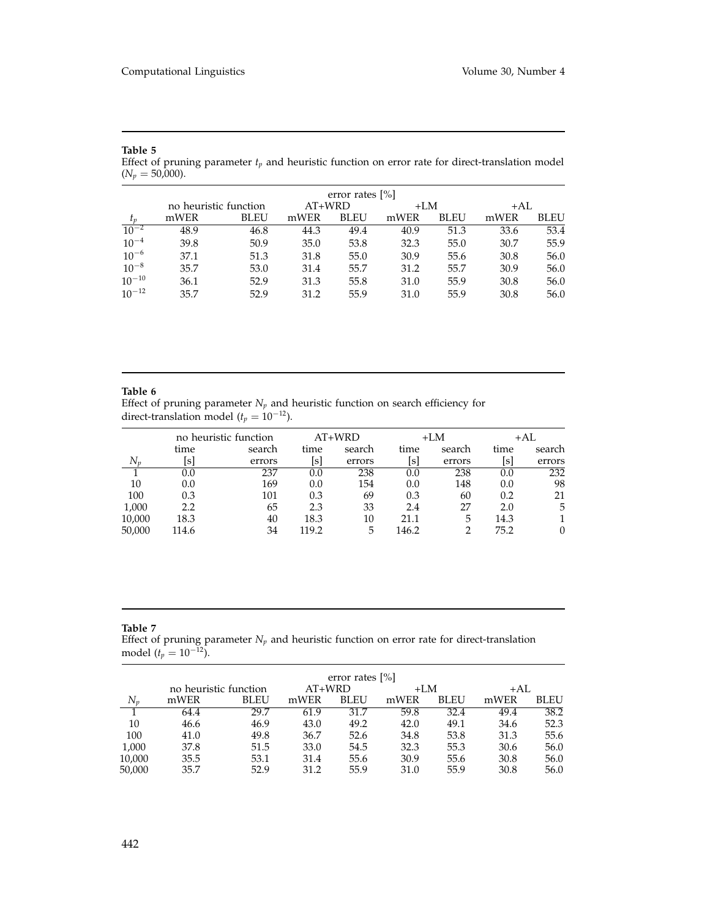| $(N_p = 50,000).$ |                       |      |        |                    |       |      |      |             |
|-------------------|-----------------------|------|--------|--------------------|-------|------|------|-------------|
|                   |                       |      |        | error rates $[\%]$ |       |      |      |             |
|                   | no heuristic function |      | AT+WRD |                    | $+LM$ |      | +AL  |             |
| $t_p$             | mWER                  | BLEU | mWER   | <b>BLEU</b>        | mWER  | BLEU | mWER | <b>BLEU</b> |
| $10^{-2}$         | 48.9                  | 46.8 | 44.3   | 49.4               | 40.9  | 51.3 | 33.6 | 53.4        |
| $10^{-4}$         | 39.8                  | 50.9 | 35.0   | 53.8               | 32.3  | 55.0 | 30.7 | 55.9        |
| $10^{-6}$         | 37.1                  | 51.3 | 31.8   | 55.0               | 30.9  | 55.6 | 30.8 | 56.0        |
| $10^{-8}$         | 35.7                  | 53.0 | 31.4   | 55.7               | 31.2  | 55.7 | 30.9 | 56.0        |
| $10^{-10}$        | 36.1                  | 52.9 | 31.3   | 55.8               | 31.0  | 55.9 | 30.8 | 56.0        |
| $10^{-12}$        | 35.7                  | 52.9 | 31.2   | 55.9               | 31.0  | 55.9 | 30.8 | 56.0        |

Effect of pruning parameter  $t_p$  and heuristic function on error rate for direct-translation model

#### **Table 6**

Effect of pruning parameter  $N_p$  and heuristic function on search efficiency for direct-translation model ( $t_p = 10^{-12}$ ).

|        |         | no heuristic function |       | $AT+WRD$ |       | $+LM$  |      | +AL    |
|--------|---------|-----------------------|-------|----------|-------|--------|------|--------|
|        | time    | search                | time  | search   | time  | search | time | search |
| $N_n$  | lsl     | errors                | [s]   | errors   | [s]   | errors | Isl  | errors |
|        | $0.0\,$ | 237                   | 0.0   | 238      | 0.0   | 238    | 0.0  | 232    |
| 10     | 0.0     | 169                   | 0.0   | 154      | 0.0   | 148    | 0.0  | 98     |
| 100    | 0.3     | 101                   | 0.3   | 69       | 0.3   | 60     | 0.2  | 21     |
| 1,000  | 2.2     | 65                    | 2.3   | 33       | 2.4   | 27     | 2.0  | 5      |
| 10,000 | 18.3    | 40                    | 18.3  | 10       | 21.1  | 5      | 14.3 |        |
| 50,000 | 114.6   | 34                    | 119.2 | 5        | 146.2 |        | 75.2 |        |

#### **Table 7**

Effect of pruning parameter *Np* and heuristic function on error rate for direct-translation model ( $t_p = 10^{-12}$ ).

|        |                       |             |          | error rates $[\%]$ |       |             |      |             |
|--------|-----------------------|-------------|----------|--------------------|-------|-------------|------|-------------|
|        | no heuristic function |             | $AT+WRD$ |                    | $+LM$ |             | +AL  |             |
| $N_n$  | mWER                  | <b>BLEU</b> | mWER     | <b>BLEU</b>        | mWER  | <b>BLEU</b> | mWER | <b>BLEU</b> |
|        | 64.4                  | 29.7        | 61.9     | 31.7               | 59.8  | 32.4        | 49.4 | 38.2        |
| 10     | 46.6                  | 46.9        | 43.0     | 49.2               | 42.0  | 49.1        | 34.6 | 52.3        |
| 100    | 41.0                  | 49.8        | 36.7     | 52.6               | 34.8  | 53.8        | 31.3 | 55.6        |
| 1,000  | 37.8                  | 51.5        | 33.0     | 54.5               | 32.3  | 55.3        | 30.6 | 56.0        |
| 10,000 | 35.5                  | 53.1        | 31.4     | 55.6               | 30.9  | 55.6        | 30.8 | 56.0        |
| 50,000 | 35.7                  | 52.9        | 31.2     | 55.9               | 31.0  | 55.9        | 30.8 | 56.0        |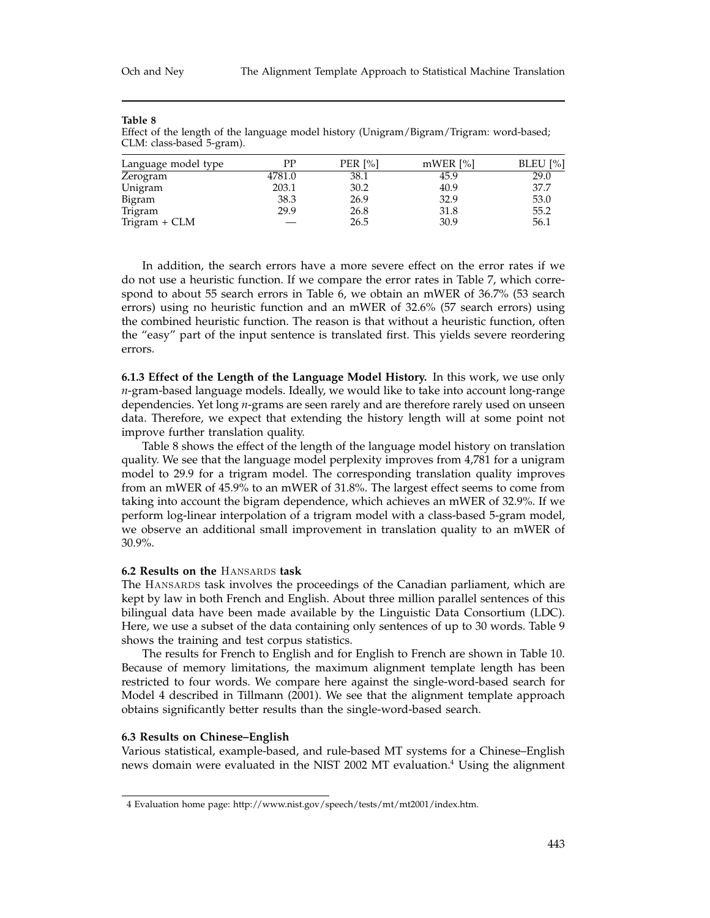| CLM: class-based 5-gram). |        |         |            |          |
|---------------------------|--------|---------|------------|----------|
| Language model type       | РP     | PER [%] | $mWER$ [%] | BLEU [%] |
| Zerogram                  | 4781.0 | 38.1    | 45.9       | 29.0     |
| Unigram                   | 203.1  | 30.2    | 40.9       | 37.7     |

Bigram 38.3 26.9 32.9 53.0 Trigram 29.9 26.8 31.8 55.2  $T$ rigram + CLM  $-$  26.5 30.9 56.1

#### **Table 8**

Effect of the length of the language model history (Unigram/Bigram/Trigram: word-based;

In addition, the search errors have a more severe effect on the error rates if we do not use a heuristic function. If we compare the error rates in Table 7, which correspond to about 55 search errors in Table 6, we obtain an mWER of 36.7% (53 search errors) using no heuristic function and an mWER of 32.6% (57 search errors) using the combined heuristic function. The reason is that without a heuristic function, often the "easy" part of the input sentence is translated first. This yields severe reordering errors.

**6.1.3 Effect of the Length of the Language Model History.** In this work, we use only *n*-gram-based language models. Ideally, we would like to take into account long-range dependencies. Yet long *n*-grams are seen rarely and are therefore rarely used on unseen data. Therefore, we expect that extending the history length will at some point not improve further translation quality.

Table 8 shows the effect of the length of the language model history on translation quality. We see that the language model perplexity improves from 4,781 for a unigram model to 29.9 for a trigram model. The corresponding translation quality improves from an mWER of 45.9% to an mWER of 31.8%. The largest effect seems to come from taking into account the bigram dependence, which achieves an mWER of 32.9%. If we perform log-linear interpolation of a trigram model with a class-based 5-gram model, we observe an additional small improvement in translation quality to an mWER of 30.9%.

#### **6.2 Results on the** Hansards **task**

The HANSARDS task involves the proceedings of the Canadian parliament, which are kept by law in both French and English. About three million parallel sentences of this bilingual data have been made available by the Linguistic Data Consortium (LDC). Here, we use a subset of the data containing only sentences of up to 30 words. Table 9 shows the training and test corpus statistics.

The results for French to English and for English to French are shown in Table 10. Because of memory limitations, the maximum alignment template length has been restricted to four words. We compare here against the single-word-based search for Model 4 described in Tillmann (2001). We see that the alignment template approach obtains significantly better results than the single-word-based search.

#### **6.3 Results on Chinese–English**

Various statistical, example-based, and rule-based MT systems for a Chinese–English news domain were evaluated in the NIST 2002 MT evaluation.<sup>4</sup> Using the alignment

<sup>4</sup> Evaluation home page: http://www.nist.gov/speech/tests/mt/mt2001/index.htm.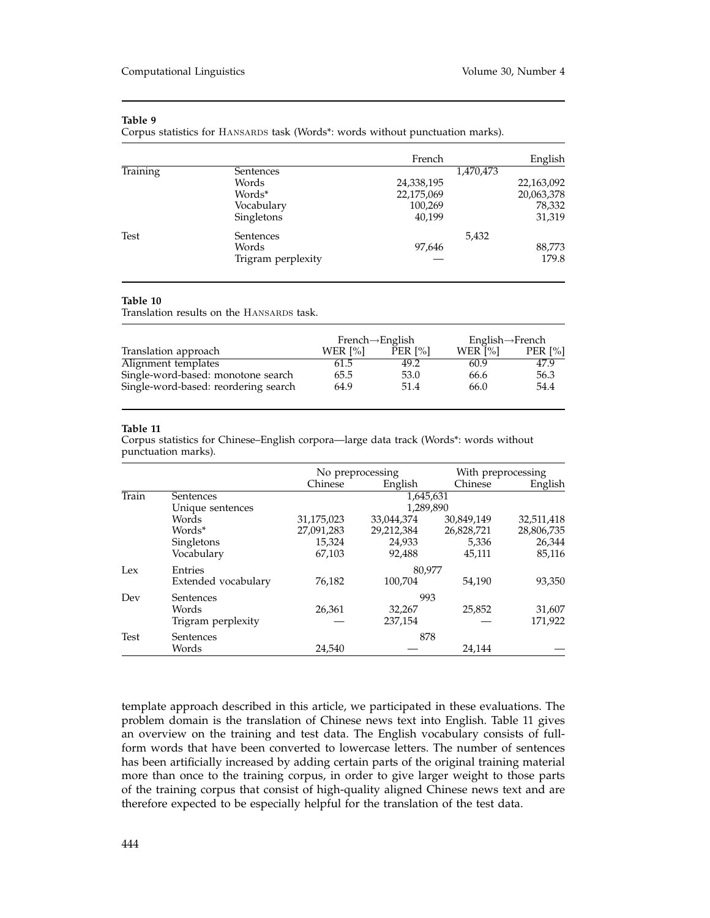Corpus statistics for HANSARDS task (Words\*: words without punctuation marks).

|                 |                    | French     | English    |
|-----------------|--------------------|------------|------------|
| <b>Training</b> | Sentences          |            | 1,470,473  |
|                 | Words              | 24,338,195 | 22,163,092 |
|                 | Words*             | 22,175,069 | 20,063,378 |
|                 | Vocabulary         | 100,269    | 78,332     |
|                 | Singletons         | 40,199     | 31,319     |
| Test            | Sentences          |            | 5,432      |
|                 | Words              | 97,646     | 88,773     |
|                 | Trigram perplexity |            | 179.8      |

### **Table 10**

Translation results on the HANSARDS task.

|                                      | $French \rightarrow English$ |         | English $\rightarrow$ French |            |
|--------------------------------------|------------------------------|---------|------------------------------|------------|
| Translation approach                 | WER $[\%]$                   | PER [%] | WER [%]                      | PER $[\%]$ |
| Alignment templates                  | 61.5                         | 49.2    | 60.9                         | 47.9       |
| Single-word-based: monotone search   | 65.5                         | 53.0    | 66.6                         | 56.3       |
| Single-word-based: reordering search | 64.9                         | 51.4    | 66.0                         | 54.4       |

#### **Table 11**

Corpus statistics for Chinese–English corpora—large data track (Words\*: words without punctuation marks).

|             |                     | No preprocessing |            | With preprocessing |            |  |
|-------------|---------------------|------------------|------------|--------------------|------------|--|
|             |                     | Chinese          | English    | Chinese            | English    |  |
| Train       | Sentences           | 1,645,631        |            |                    |            |  |
|             | Unique sentences    | 1,289,890        |            |                    |            |  |
|             | Words               | 31,175,023       | 33,044,374 | 30,849,149         | 32,511,418 |  |
|             | Words*              | 27,091,283       | 29,212,384 | 26,828,721         | 28,806,735 |  |
|             | Singletons          | 15,324           | 24.933     | 5,336              | 26,344     |  |
|             | Vocabulary          | 67,103           | 92,488     | 45,111             | 85,116     |  |
| Lex         | Entries             |                  | 80.977     |                    |            |  |
|             | Extended vocabulary | 76,182           | 100,704    | 54,190             | 93,350     |  |
| Dev         | Sentences           | 993              |            |                    |            |  |
|             | Words               | 26,361           | 32,267     | 25,852             | 31,607     |  |
|             | Trigram perplexity  |                  | 237,154    |                    | 171,922    |  |
| <b>Test</b> | Sentences           | 878              |            |                    |            |  |
|             | Words               | 24,540           |            | 24,144             |            |  |

template approach described in this article, we participated in these evaluations. The problem domain is the translation of Chinese news text into English. Table 11 gives an overview on the training and test data. The English vocabulary consists of fullform words that have been converted to lowercase letters. The number of sentences has been artificially increased by adding certain parts of the original training material more than once to the training corpus, in order to give larger weight to those parts of the training corpus that consist of high-quality aligned Chinese news text and are therefore expected to be especially helpful for the translation of the test data.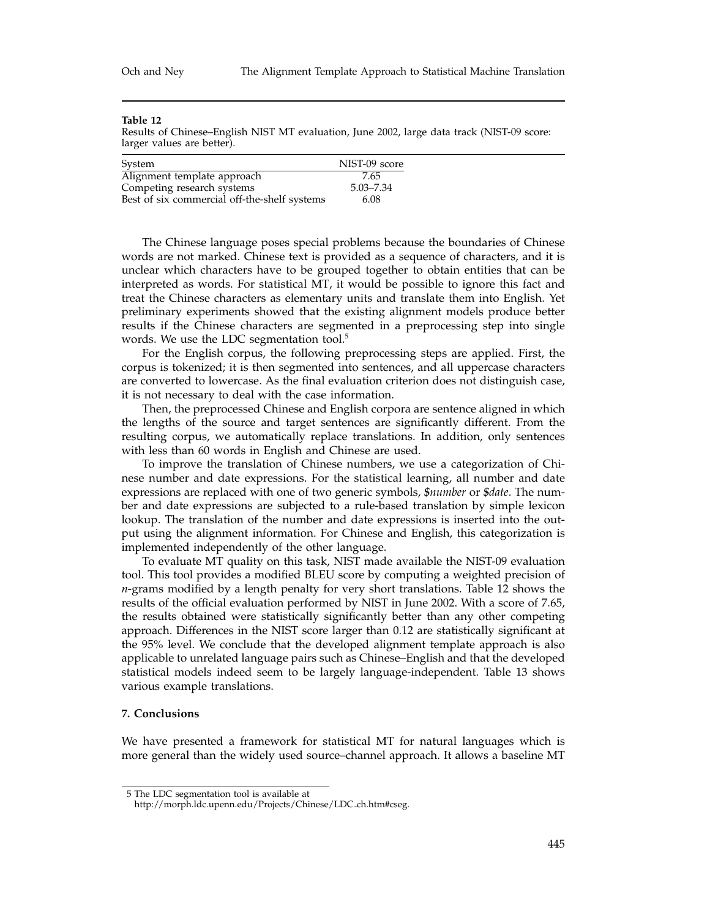Results of Chinese–English NIST MT evaluation, June 2002, large data track (NIST-09 score: larger values are better).

| System                                       | NIST-09 score |
|----------------------------------------------|---------------|
| Alignment template approach                  | 7.65          |
| Competing research systems                   | 5.03–7.34     |
| Best of six commercial off-the-shelf systems | 6.08          |

The Chinese language poses special problems because the boundaries of Chinese words are not marked. Chinese text is provided as a sequence of characters, and it is unclear which characters have to be grouped together to obtain entities that can be interpreted as words. For statistical MT, it would be possible to ignore this fact and treat the Chinese characters as elementary units and translate them into English. Yet preliminary experiments showed that the existing alignment models produce better results if the Chinese characters are segmented in a preprocessing step into single words. We use the LDC segmentation tool.<sup>5</sup>

For the English corpus, the following preprocessing steps are applied. First, the corpus is tokenized; it is then segmented into sentences, and all uppercase characters are converted to lowercase. As the final evaluation criterion does not distinguish case, it is not necessary to deal with the case information.

Then, the preprocessed Chinese and English corpora are sentence aligned in which the lengths of the source and target sentences are significantly different. From the resulting corpus, we automatically replace translations. In addition, only sentences with less than 60 words in English and Chinese are used.

To improve the translation of Chinese numbers, we use a categorization of Chinese number and date expressions. For the statistical learning, all number and date expressions are replaced with one of two generic symbols, *\$number* or *\$date*. The number and date expressions are subjected to a rule-based translation by simple lexicon lookup. The translation of the number and date expressions is inserted into the output using the alignment information. For Chinese and English, this categorization is implemented independently of the other language.

To evaluate MT quality on this task, NIST made available the NIST-09 evaluation tool. This tool provides a modified BLEU score by computing a weighted precision of *n*-grams modified by a length penalty for very short translations. Table 12 shows the results of the official evaluation performed by NIST in June 2002. With a score of 7.65, the results obtained were statistically significantly better than any other competing approach. Differences in the NIST score larger than 0.12 are statistically significant at the 95% level. We conclude that the developed alignment template approach is also applicable to unrelated language pairs such as Chinese–English and that the developed statistical models indeed seem to be largely language-independent. Table 13 shows various example translations.

## **7. Conclusions**

We have presented a framework for statistical MT for natural languages which is more general than the widely used source–channel approach. It allows a baseline MT

<sup>5</sup> The LDC segmentation tool is available at

http://morph.ldc.upenn.edu/Projects/Chinese/LDC ch.htm#cseg.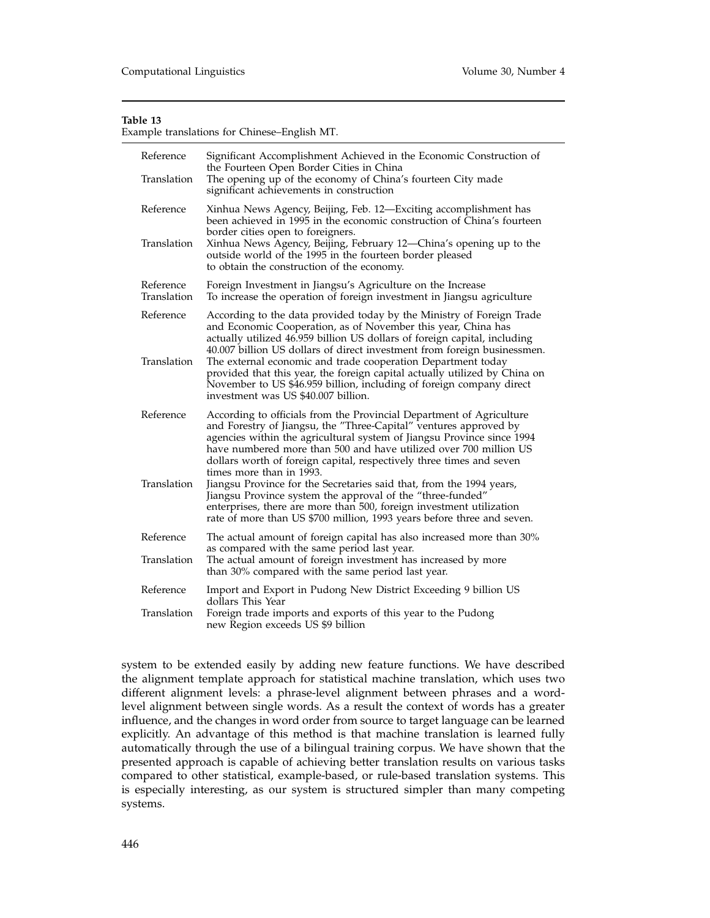Example translations for Chinese–English MT.

| Reference<br>Translation | Significant Accomplishment Achieved in the Economic Construction of<br>the Fourteen Open Border Cities in China<br>The opening up of the economy of China's fourteen City made<br>significant achievements in construction                                                                                                                                                                                                                                                                                                                                                                                                                                                           |  |
|--------------------------|--------------------------------------------------------------------------------------------------------------------------------------------------------------------------------------------------------------------------------------------------------------------------------------------------------------------------------------------------------------------------------------------------------------------------------------------------------------------------------------------------------------------------------------------------------------------------------------------------------------------------------------------------------------------------------------|--|
| Reference<br>Translation | Xinhua News Agency, Beijing, Feb. 12-Exciting accomplishment has<br>been achieved in 1995 in the economic construction of China's fourteen<br>border cities open to foreigners.<br>Xinhua News Agency, Beijing, February 12-China's opening up to the<br>outside world of the 1995 in the fourteen border pleased<br>to obtain the construction of the economy.                                                                                                                                                                                                                                                                                                                      |  |
| Reference<br>Translation | Foreign Investment in Jiangsu's Agriculture on the Increase<br>To increase the operation of foreign investment in Jiangsu agriculture                                                                                                                                                                                                                                                                                                                                                                                                                                                                                                                                                |  |
| Reference<br>Translation | According to the data provided today by the Ministry of Foreign Trade<br>and Economic Cooperation, as of November this year, China has<br>actually utilized 46.959 billion US dollars of foreign capital, including<br>40.007 billion US dollars of direct investment from foreign businessmen.<br>The external economic and trade cooperation Department today<br>provided that this year, the foreign capital actually utilized by China on<br>November to US \$46.959 billion, including of foreign company direct<br>investment was US \$40.007 billion.                                                                                                                         |  |
| Reference<br>Translation | According to officials from the Provincial Department of Agriculture<br>and Forestry of Jiangsu, the "Three-Capital" ventures approved by<br>agencies within the agricultural system of Jiangsu Province since 1994<br>have numbered more than 500 and have utilized over 700 million US<br>dollars worth of foreign capital, respectively three times and seven<br>times more than in 1993.<br>Jiangsu Province for the Secretaries said that, from the 1994 years,<br>Jiangsu Province system the approval of the "three-funded"<br>enterprises, there are more than 500, foreign investment utilization<br>rate of more than US \$700 million, 1993 years before three and seven. |  |
| Reference                | The actual amount of foreign capital has also increased more than 30%                                                                                                                                                                                                                                                                                                                                                                                                                                                                                                                                                                                                                |  |
| Translation              | as compared with the same period last year.<br>The actual amount of foreign investment has increased by more<br>than 30% compared with the same period last year.                                                                                                                                                                                                                                                                                                                                                                                                                                                                                                                    |  |
| Reference                | Import and Export in Pudong New District Exceeding 9 billion US<br>dollars This Year                                                                                                                                                                                                                                                                                                                                                                                                                                                                                                                                                                                                 |  |
| Translation              | Foreign trade imports and exports of this year to the Pudong<br>new Region exceeds US \$9 billion                                                                                                                                                                                                                                                                                                                                                                                                                                                                                                                                                                                    |  |

system to be extended easily by adding new feature functions. We have described the alignment template approach for statistical machine translation, which uses two different alignment levels: a phrase-level alignment between phrases and a wordlevel alignment between single words. As a result the context of words has a greater influence, and the changes in word order from source to target language can be learned explicitly. An advantage of this method is that machine translation is learned fully automatically through the use of a bilingual training corpus. We have shown that the presented approach is capable of achieving better translation results on various tasks compared to other statistical, example-based, or rule-based translation systems. This is especially interesting, as our system is structured simpler than many competing systems.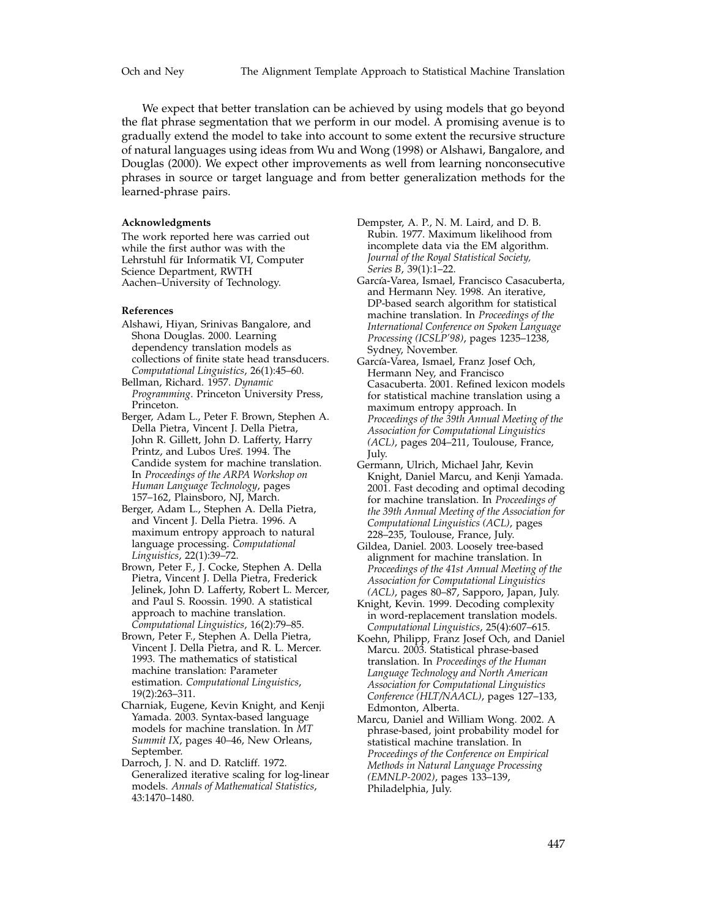We expect that better translation can be achieved by using models that go beyond the flat phrase segmentation that we perform in our model. A promising avenue is to gradually extend the model to take into account to some extent the recursive structure of natural languages using ideas from Wu and Wong (1998) or Alshawi, Bangalore, and Douglas (2000). We expect other improvements as well from learning nonconsecutive phrases in source or target language and from better generalization methods for the learned-phrase pairs.

#### **Acknowledgments**

The work reported here was carried out while the first author was with the Lehrstuhl für Informatik VI, Computer Science Department, RWTH Aachen–University of Technology.

#### **References**

- Alshawi, Hiyan, Srinivas Bangalore, and Shona Douglas. 2000. Learning dependency translation models as collections of finite state head transducers. *Computational Linguistics*, 26(1):45–60.
- Bellman, Richard. 1957. *Dynamic Programming*. Princeton University Press, Princeton.
- Berger, Adam L., Peter F. Brown, Stephen A. Della Pietra, Vincent J. Della Pietra, John R. Gillett, John D. Lafferty, Harry Printz, and Lubos Ureš. 1994. The Candide system for machine translation. In *Proceedings of the ARPA Workshop on Human Language Technology*, pages 157–162, Plainsboro, NJ, March.
- Berger, Adam L., Stephen A. Della Pietra, and Vincent J. Della Pietra. 1996. A maximum entropy approach to natural language processing. *Computational Linguistics*, 22(1):39–72.
- Brown, Peter F., J. Cocke, Stephen A. Della Pietra, Vincent J. Della Pietra, Frederick Jelinek, John D. Lafferty, Robert L. Mercer, and Paul S. Roossin. 1990. A statistical approach to machine translation. *Computational Linguistics*, 16(2):79–85.
- Brown, Peter F., Stephen A. Della Pietra, Vincent J. Della Pietra, and R. L. Mercer. 1993. The mathematics of statistical machine translation: Parameter estimation. *Computational Linguistics*, 19(2):263–311.
- Charniak, Eugene, Kevin Knight, and Kenji Yamada. 2003. Syntax-based language models for machine translation. In *MT Summit IX*, pages 40–46, New Orleans, September.
- Darroch, J. N. and D. Ratcliff. 1972. Generalized iterative scaling for log-linear models. *Annals of Mathematical Statistics*, 43:1470–1480.

Dempster, A. P., N. M. Laird, and D. B. Rubin. 1977. Maximum likelihood from incomplete data via the EM algorithm. *Journal of the Royal Statistical Society, Series B*, 39(1):1–22.

- García-Varea, Ismael, Francisco Casacuberta, and Hermann Ney. 1998. An iterative, DP-based search algorithm for statistical machine translation. In *Proceedings of the International Conference on Spoken Language Processing (ICSLP'98)*, pages 1235–1238, Sydney, November.
- García-Varea, Ismael, Franz Josef Och, Hermann Ney, and Francisco Casacuberta. 2001. Refined lexicon models for statistical machine translation using a maximum entropy approach. In *Proceedings of the 39th Annual Meeting of the Association for Computational Linguistics (ACL)*, pages 204–211, Toulouse, France, July.
- Germann, Ulrich, Michael Jahr, Kevin Knight, Daniel Marcu, and Kenji Yamada. 2001. Fast decoding and optimal decoding for machine translation. In *Proceedings of the 39th Annual Meeting of the Association for Computational Linguistics (ACL)*, pages 228–235, Toulouse, France, July.
- Gildea, Daniel. 2003. Loosely tree-based alignment for machine translation. In *Proceedings of the 41st Annual Meeting of the Association for Computational Linguistics (ACL)*, pages 80–87, Sapporo, Japan, July.
- Knight, Kevin. 1999. Decoding complexity in word-replacement translation models. *Computational Linguistics*, 25(4):607–615.
- Koehn, Philipp, Franz Josef Och, and Daniel Marcu. 2003. Statistical phrase-based translation. In *Proceedings of the Human Language Technology and North American Association for Computational Linguistics Conference (HLT/NAACL)*, pages 127–133, Edmonton, Alberta.
- Marcu, Daniel and William Wong. 2002. A phrase-based, joint probability model for statistical machine translation. In *Proceedings of the Conference on Empirical Methods in Natural Language Processing (EMNLP-2002)*, pages 133–139, Philadelphia, July.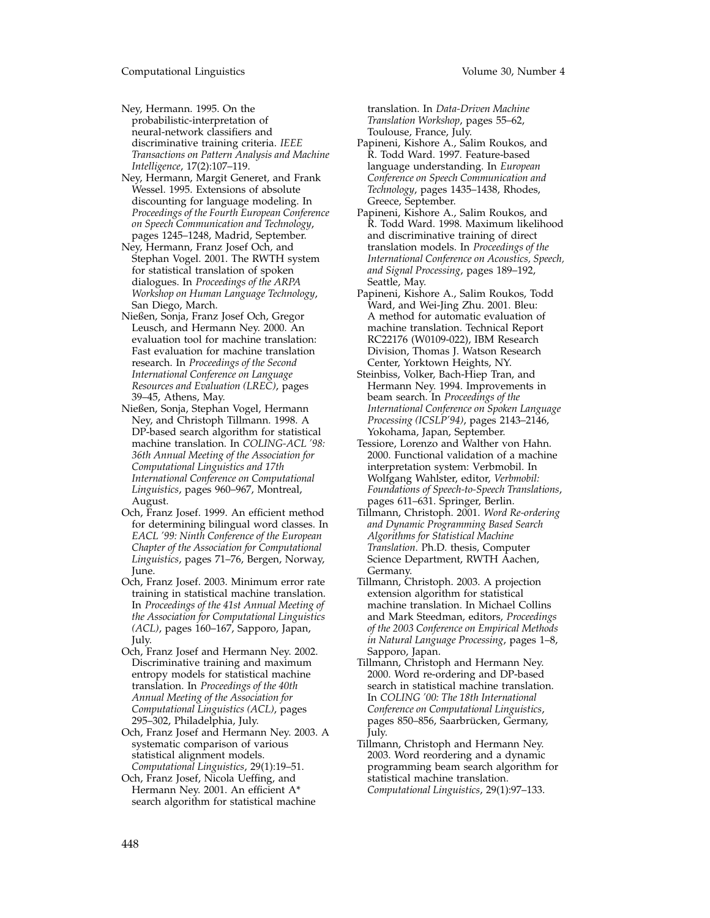Ney, Hermann. 1995. On the probabilistic-interpretation of neural-network classifiers and discriminative training criteria. *IEEE Transactions on Pattern Analysis and Machine Intelligence*, 17(2):107–119.

- Ney, Hermann, Margit Generet, and Frank Wessel. 1995. Extensions of absolute discounting for language modeling. In *Proceedings of the Fourth European Conference on Speech Communication and Technology*, pages 1245–1248, Madrid, September.
- Ney, Hermann, Franz Josef Och, and Stephan Vogel. 2001. The RWTH system for statistical translation of spoken dialogues. In *Proceedings of the ARPA Workshop on Human Language Technology*, San Diego, March.
- Nießen, Sonja, Franz Josef Och, Gregor Leusch, and Hermann Ney. 2000. An evaluation tool for machine translation: Fast evaluation for machine translation research. In *Proceedings of the Second International Conference on Language Resources and Evaluation (LREC)*, pages 39–45, Athens, May.
- Nießen, Sonja, Stephan Vogel, Hermann Ney, and Christoph Tillmann. 1998. A DP-based search algorithm for statistical machine translation. In *COLING-ACL '98: 36th Annual Meeting of the Association for Computational Linguistics and 17th International Conference on Computational Linguistics*, pages 960–967, Montreal, August.
- Och, Franz Josef. 1999. An efficient method for determining bilingual word classes. In *EACL '99: Ninth Conference of the European Chapter of the Association for Computational Linguistics*, pages 71–76, Bergen, Norway, June.
- Och, Franz Josef. 2003. Minimum error rate training in statistical machine translation. In *Proceedings of the 41st Annual Meeting of the Association for Computational Linguistics (ACL)*, pages 160–167, Sapporo, Japan, July.
- Och, Franz Josef and Hermann Ney. 2002. Discriminative training and maximum entropy models for statistical machine translation. In *Proceedings of the 40th Annual Meeting of the Association for Computational Linguistics (ACL)*, pages 295–302, Philadelphia, July.
- Och, Franz Josef and Hermann Ney. 2003. A systematic comparison of various statistical alignment models. *Computational Linguistics*, 29(1):19–51.
- Och, Franz Josef, Nicola Ueffing, and Hermann Ney. 2001. An efficient A\* search algorithm for statistical machine

translation. In *Data-Driven Machine Translation Workshop*, pages 55–62, Toulouse, France, July.

- Papineni, Kishore A., Salim Roukos, and R. Todd Ward. 1997. Feature-based language understanding. In *European Conference on Speech Communication and Technology*, pages 1435–1438, Rhodes, Greece, September.
- Papineni, Kishore A., Salim Roukos, and R. Todd Ward. 1998. Maximum likelihood and discriminative training of direct translation models. In *Proceedings of the International Conference on Acoustics, Speech, and Signal Processing*, pages 189–192, Seattle, May.
- Papineni, Kishore A., Salim Roukos, Todd Ward, and Wei-Jing Zhu. 2001. Bleu: A method for automatic evaluation of machine translation. Technical Report RC22176 (W0109-022), IBM Research Division, Thomas J. Watson Research Center, Yorktown Heights, NY.
- Steinbiss, Volker, Bach-Hiep Tran, and Hermann Ney. 1994. Improvements in beam search. In *Proceedings of the International Conference on Spoken Language Processing (ICSLP'94)*, pages 2143–2146, Yokohama, Japan, September.
- Tessiore, Lorenzo and Walther von Hahn. 2000. Functional validation of a machine interpretation system: Verbmobil. In Wolfgang Wahlster, editor, *Verbmobil: Foundations of Speech-to-Speech Translations*, pages 611–631. Springer, Berlin.
- Tillmann, Christoph. 2001. *Word Re-ordering and Dynamic Programming Based Search Algorithms for Statistical Machine Translation*. Ph.D. thesis, Computer Science Department, RWTH Aachen, Germany.
- Tillmann, Christoph. 2003. A projection extension algorithm for statistical machine translation. In Michael Collins and Mark Steedman, editors, *Proceedings of the 2003 Conference on Empirical Methods in Natural Language Processing*, pages 1–8, Sapporo, Japan.
- Tillmann, Christoph and Hermann Ney. 2000. Word re-ordering and DP-based search in statistical machine translation. In *COLING '00: The 18th International Conference on Computational Linguistics*, pages 850–856, Saarbrücken, Germany, July.
- Tillmann, Christoph and Hermann Ney. 2003. Word reordering and a dynamic programming beam search algorithm for statistical machine translation. *Computational Linguistics*, 29(1):97–133.